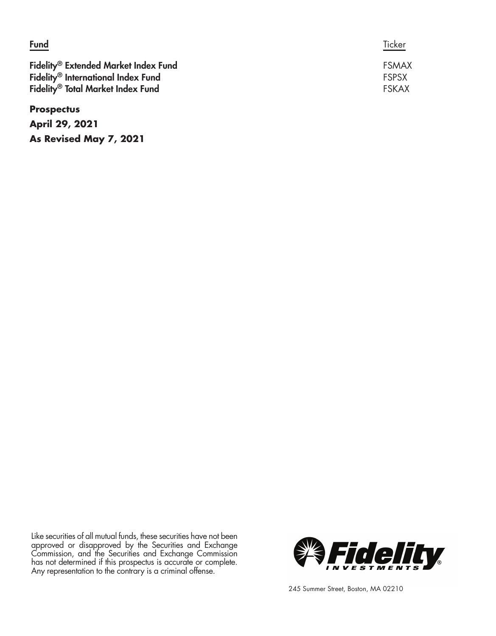| <b>Fund</b>                                                                                                                                         | Ticker                                       |
|-----------------------------------------------------------------------------------------------------------------------------------------------------|----------------------------------------------|
| Fidelity <sup>®</sup> Extended Market Index Fund<br>Fidelity <sup>®</sup> International Index Fund<br>Fidelity <sup>®</sup> Total Market Index Fund | <b>FSMAX</b><br><b>FSPSX</b><br><b>FSKAX</b> |
| <b>Prospectus</b>                                                                                                                                   |                                              |
| <b>April 29, 2021</b>                                                                                                                               |                                              |

Like securities of all mutual funds, these securities have not been approved or disapproved by the Securities and Exchange Commission, and the Securities and Exchange Commission has not determined if this prospectus is accurate or complete. Any representation to the contrary is a criminal offense.

**As Revised May 7, 2021**



245 Summer Street, Boston, MA 02210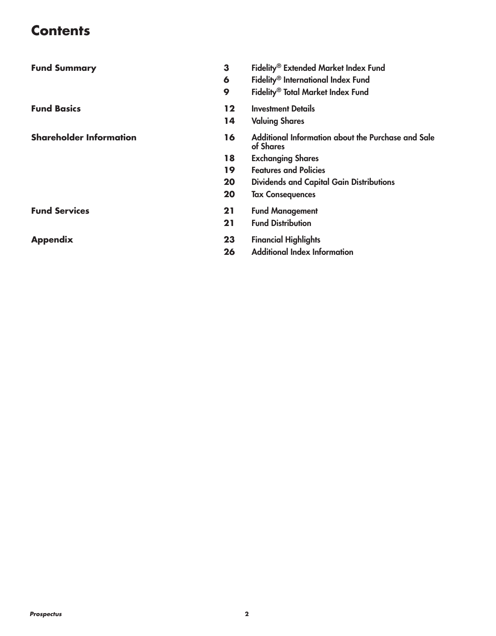# **Contents**

| <b>Fund Summary</b>            | 3  | Fidelity® Extended Market Index Fund                            |
|--------------------------------|----|-----------------------------------------------------------------|
|                                | 6  | Fidelity <sup>®</sup> International Index Fund                  |
|                                | 9  | Fidelity <sup>®</sup> Total Market Index Fund                   |
| <b>Fund Basics</b>             | 12 | <b>Investment Details</b>                                       |
|                                | 14 | <b>Valuing Shares</b>                                           |
| <b>Shareholder Information</b> | 16 | Additional Information about the Purchase and Sale<br>of Shares |
|                                | 18 | <b>Exchanging Shares</b>                                        |
|                                | 19 | <b>Features and Policies</b>                                    |
|                                | 20 | <b>Dividends and Capital Gain Distributions</b>                 |
|                                | 20 | <b>Tax Consequences</b>                                         |
| <b>Fund Services</b>           | 21 | <b>Fund Management</b>                                          |
|                                | 21 | <b>Fund Distribution</b>                                        |
| <b>Appendix</b>                | 23 | <b>Financial Highlights</b>                                     |
|                                | 26 | <b>Additional Index Information</b>                             |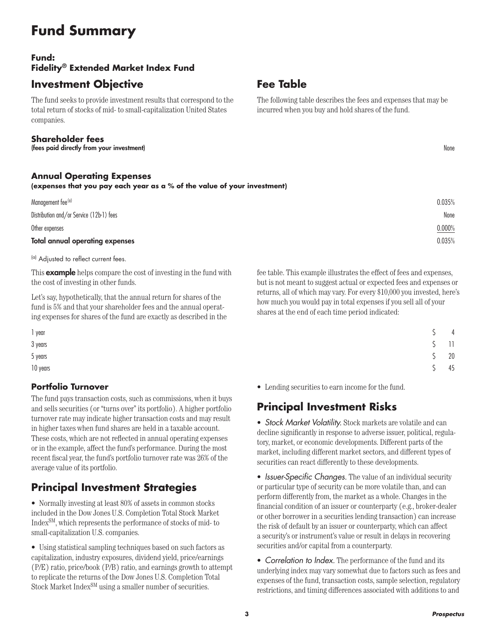# **Fund Summary**

## **Fund: Fidelity® Extended Market Index Fund**

### **Investment Objective**

The fund seeks to provide investment results that correspond to the total return of stocks of mid- to small-capitalization United States companies.

#### **Shareholder fees**

(fees paid directly from your investment) None

#### **Annual Operating Expenses**

#### **(expenses that you pay each year as a % of the value of your investment)**

| 0.035% |
|--------|
| 0.000% |
| None   |
| 0.035% |
|        |

(a) Adjusted to reflect current fees.

This **example** helps compare the cost of investing in the fund with the cost of investing in other funds.

Let's say, hypothetically, that the annual return for shares of the fund is 5% and that your shareholder fees and the annual operating expenses for shares of the fund are exactly as described in the

#### **Portfolio Turnover**

The fund pays transaction costs, such as commissions, when it buys and sells securities (or "turns over" its portfolio). A higher portfolio turnover rate may indicate higher transaction costs and may result in higher taxes when fund shares are held in a taxable account. These costs, which are not reflected in annual operating expenses or in the example, affect the fund's performance. During the most recent fiscal year, the fund's portfolio turnover rate was 26% of the average value of its portfolio.

## **Principal Investment Strategies**

• Normally investing at least 80% of assets in common stocks included in the Dow Jones U.S. Completion Total Stock Market IndexSM, which represents the performance of stocks of mid- to small-capitalization U.S. companies.

• Using statistical sampling techniques based on such factors as capitalization, industry exposures, dividend yield, price/earnings (P/E) ratio, price/book (P/B) ratio, and earnings growth to attempt to replicate the returns of the Dow Jones U.S. Completion Total Stock Market Index<sup>SM</sup> using a smaller number of securities.

# **Fee Table**

The following table describes the fees and expenses that may be incurred when you buy and hold shares of the fund.

fee table. This example illustrates the effect of fees and expenses, but is not meant to suggest actual or expected fees and expenses or returns, all of which may vary. For every \$10,000 you invested, here's how much you would pay in total expenses if you sell all of your shares at the end of each time period indicated:

| 1 year   |        | $\overline{4}$           |
|----------|--------|--------------------------|
| 3 years  |        | $\overline{\phantom{0}}$ |
| 5 years  | $\sim$ | 20                       |
| 10 years |        | 45                       |

• Lending securities to earn income for the fund.

## **Principal Investment Risks**

• *Stock Market Volatility.* Stock markets are volatile and can decline significantly in response to adverse issuer, political, regulatory, market, or economic developments. Different parts of the market, including different market sectors, and different types of securities can react differently to these developments.

• *Issuer-Specific Changes.* The value of an individual security or particular type of security can be more volatile than, and can perform differently from, the market as a whole. Changes in the financial condition of an issuer or counterparty (e.g., broker-dealer or other borrower in a securities lending transaction) can increase the risk of default by an issuer or counterparty, which can affect a security's or instrument's value or result in delays in recovering securities and/or capital from a counterparty.

• *Correlation to Index.* The performance of the fund and its underlying index may vary somewhat due to factors such as fees and expenses of the fund, transaction costs, sample selection, regulatory restrictions, and timing differences associated with additions to and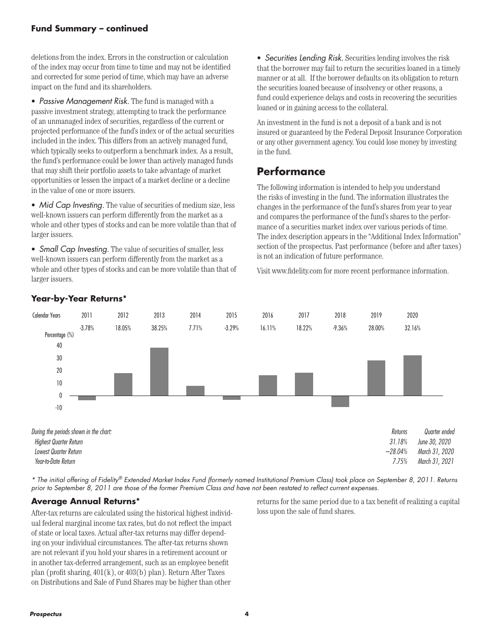#### **Fund Summary – continued**

deletions from the index. Errors in the construction or calculation of the index may occur from time to time and may not be identified and corrected for some period of time, which may have an adverse impact on the fund and its shareholders.

• *Passive Management Risk.* The fund is managed with a passive investment strategy, attempting to track the performance of an unmanaged index of securities, regardless of the current or projected performance of the fund's index or of the actual securities included in the index. This differs from an actively managed fund, which typically seeks to outperform a benchmark index. As a result, the fund's performance could be lower than actively managed funds that may shift their portfolio assets to take advantage of market opportunities or lessen the impact of a market decline or a decline in the value of one or more issuers.

• *Mid Cap Investing*. The value of securities of medium size, less well-known issuers can perform differently from the market as a whole and other types of stocks and can be more volatile than that of larger issuers.

• *Small Cap Investing.* The value of securities of smaller, less well-known issuers can perform differently from the market as a whole and other types of stocks and can be more volatile than that of larger issuers.

• *Securities Lending Risk.* Securities lending involves the risk that the borrower may fail to return the securities loaned in a timely manner or at all. If the borrower defaults on its obligation to return the securities loaned because of insolvency or other reasons, a fund could experience delays and costs in recovering the securities loaned or in gaining access to the collateral.

An investment in the fund is not a deposit of a bank and is not insured or guaranteed by the Federal Deposit Insurance Corporation or any other government agency. You could lose money by investing in the fund.

### **Performance**

The following information is intended to help you understand the risks of investing in the fund. The information illustrates the changes in the performance of the fund's shares from year to year and compares the performance of the fund's shares to the performance of a securities market index over various periods of time. The index description appears in the "Additional Index Information" section of the prospectus. Past performance (before and after taxes) is not an indication of future performance.

Visit www.fidelity.com for more recent performance information.



**Year-by-Year Returns\***

*\* The initial offering of Fidelity® Extended Market Index Fund (formerly named Institutional Premium Class) took place on September 8, 2011. Returns prior to September 8, 2011 are those of the former Premium Class and have not been restated to reflect current expenses.* 

#### **Average Annual Returns\***

After-tax returns are calculated using the historical highest individual federal marginal income tax rates, but do not reflect the impact of state or local taxes. Actual after-tax returns may differ depending on your individual circumstances. The after-tax returns shown are not relevant if you hold your shares in a retirement account or in another tax-deferred arrangement, such as an employee benefit plan (profit sharing, 401(k), or 403(b) plan). Return After Taxes on Distributions and Sale of Fund Shares may be higher than other

returns for the same period due to a tax benefit of realizing a capital loss upon the sale of fund shares.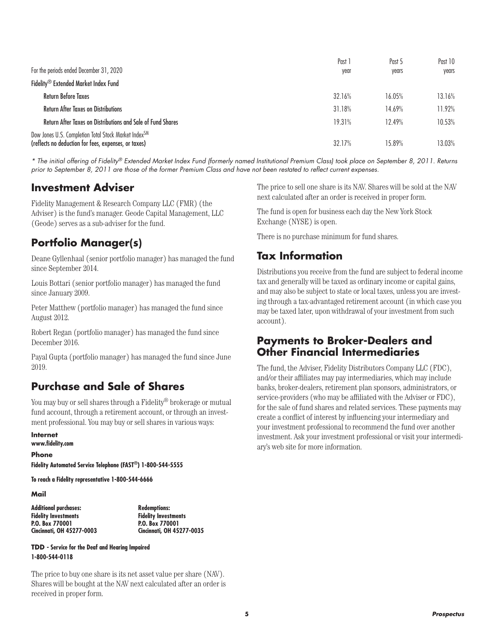|                                                                                                                          | Past 1 | Past 5 | Past 10 |
|--------------------------------------------------------------------------------------------------------------------------|--------|--------|---------|
| For the periods ended December 31, 2020                                                                                  | year   | years  | vears   |
| Fidelity <sup>®</sup> Extended Market Index Fund                                                                         |        |        |         |
| <b>Return Before Taxes</b>                                                                                               | 32.16% | 16.05% | 13.16%  |
| <b>Return After Taxes on Distributions</b>                                                                               | 31.18% | 14.69% | 11.92%  |
| Return After Taxes on Distributions and Sale of Fund Shares                                                              | 19.31% | 12.49% | 10.53%  |
| Dow Jones U.S. Completion Total Stock Market Index <sup>SM</sup><br>(reflects no deduction for fees, expenses, or taxes) | 32.17% | 15.89% | 13.03%  |

*\* The initial offering of Fidelity® Extended Market Index Fund (formerly named Institutional Premium Class) took place on September 8, 2011. Returns prior to September 8, 2011 are those of the former Premium Class and have not been restated to reflect current expenses.* 

### **Investment Adviser**

Fidelity Management & Research Company LLC (FMR) (the Adviser) is the fund's manager. Geode Capital Management, LLC (Geode) serves as a sub-adviser for the fund.

### **Portfolio Manager(s)**

Deane Gyllenhaal (senior portfolio manager) has managed the fund since September 2014.

Louis Bottari (senior portfolio manager) has managed the fund since January 2009.

Peter Matthew (portfolio manager) has managed the fund since August 2012.

Robert Regan (portfolio manager) has managed the fund since December 2016.

Payal Gupta (portfolio manager) has managed the fund since June 2019.

### **Purchase and Sale of Shares**

You may buy or sell shares through a Fidelity® brokerage or mutual fund account, through a retirement account, or through an investment professional. You may buy or sell shares in various ways:

**Internet www.fidelity.com**

**Phone Fidelity Automated Service Telephone (FAST®) 1-800-544-5555**

**To reach a Fidelity representative 1-800-544-6666**

**Mail**

| <b>Additional purchases:</b> |
|------------------------------|
| <b>Fidelity Investments</b>  |
| P.O. Box 770001              |
| Cincinnati, OH 45277-0003    |

**Additional purchases: Redemptions: Fidelity Investments P.O. Box 770001 Cincinnati, OH 45277-0035**

**TDD - Service for the Deaf and Hearing Impaired 1-800-544-0118**

The price to buy one share is its net asset value per share (NAV). Shares will be bought at the NAV next calculated after an order is received in proper form.

The price to sell one share is its NAV. Shares will be sold at the NAV next calculated after an order is received in proper form.

The fund is open for business each day the New York Stock Exchange (NYSE) is open.

There is no purchase minimum for fund shares.

### **Tax Information**

Distributions you receive from the fund are subject to federal income tax and generally will be taxed as ordinary income or capital gains, and may also be subject to state or local taxes, unless you are investing through a tax-advantaged retirement account (in which case you may be taxed later, upon withdrawal of your investment from such account).

### **Payments to Broker-Dealers and Other Financial Intermediaries**

The fund, the Adviser, Fidelity Distributors Company LLC (FDC), and/or their affiliates may pay intermediaries, which may include banks, broker-dealers, retirement plan sponsors, administrators, or service-providers (who may be affiliated with the Adviser or FDC), for the sale of fund shares and related services. These payments may create a conflict of interest by influencing your intermediary and your investment professional to recommend the fund over another investment. Ask your investment professional or visit your intermediary's web site for more information.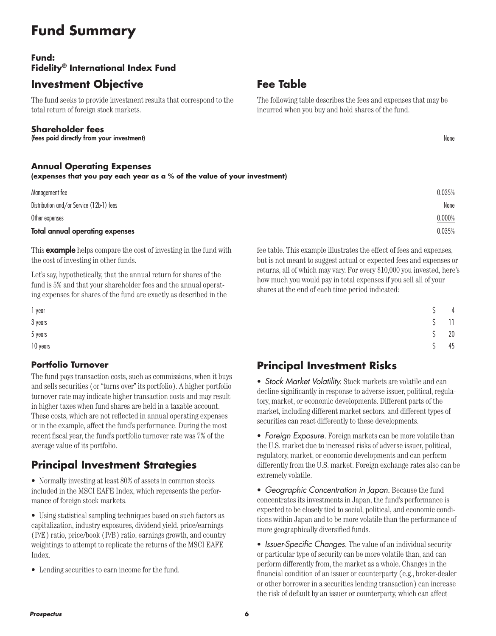# **Fund Summary**

### **Fund: Fidelity® International Index Fund**

### **Investment Objective**

The fund seeks to provide investment results that correspond to the total return of foreign stock markets.

#### **Shareholder fees**

(fees paid directly from your investment) None

#### **Annual Operating Expenses**

**(expenses that you pay each year as a % of the value of your investment)**

| Total annual operating expenses          | 0.035% |
|------------------------------------------|--------|
| Other expenses                           | 0.000% |
| Distribution and/or Service (12b-1) fees | None   |
| Management fee                           | 0.035% |

This **example** helps compare the cost of investing in the fund with the cost of investing in other funds.

Let's say, hypothetically, that the annual return for shares of the fund is 5% and that your shareholder fees and the annual operating expenses for shares of the fund are exactly as described in the

#### **Portfolio Turnover**

The fund pays transaction costs, such as commissions, when it buys and sells securities (or "turns over" its portfolio). A higher portfolio turnover rate may indicate higher transaction costs and may result in higher taxes when fund shares are held in a taxable account. These costs, which are not reflected in annual operating expenses or in the example, affect the fund's performance. During the most recent fiscal year, the fund's portfolio turnover rate was 7% of the average value of its portfolio.

# **Principal Investment Strategies**

• Normally investing at least 80% of assets in common stocks included in the MSCI EAFE Index, which represents the performance of foreign stock markets.

• Using statistical sampling techniques based on such factors as capitalization, industry exposures, dividend yield, price/earnings (P/E) ratio, price/book (P/B) ratio, earnings growth, and country weightings to attempt to replicate the returns of the MSCI EAFE Index.

• Lending securities to earn income for the fund.

#### fee table. This example illustrates the effect of fees and expenses, but is not meant to suggest actual or expected fees and expenses or returns, all of which may vary. For every \$10,000 you invested, here's how much you would pay in total expenses if you sell all of your shares at the end of each time period indicated:

| $\overline{4}$ |
|----------------|
| $\Box$         |
| 20             |
| 45             |
|                |

## **Principal Investment Risks**

• *Stock Market Volatility.* Stock markets are volatile and can decline significantly in response to adverse issuer, political, regulatory, market, or economic developments. Different parts of the market, including different market sectors, and different types of securities can react differently to these developments.

• *Foreign Exposure.* Foreign markets can be more volatile than the U.S. market due to increased risks of adverse issuer, political, regulatory, market, or economic developments and can perform differently from the U.S. market. Foreign exchange rates also can be extremely volatile.

• *Geographic Concentration in Japan.* Because the fund concentrates its investments in Japan, the fund's performance is expected to be closely tied to social, political, and economic conditions within Japan and to be more volatile than the performance of more geographically diversified funds.

• *Issuer-Specific Changes.* The value of an individual security or particular type of security can be more volatile than, and can perform differently from, the market as a whole. Changes in the financial condition of an issuer or counterparty (e.g., broker-dealer or other borrower in a securities lending transaction) can increase the risk of default by an issuer or counterparty, which can affect

*Prospectus* **6**

**Fee Table**

The following table describes the fees and expenses that may be incurred when you buy and hold shares of the fund.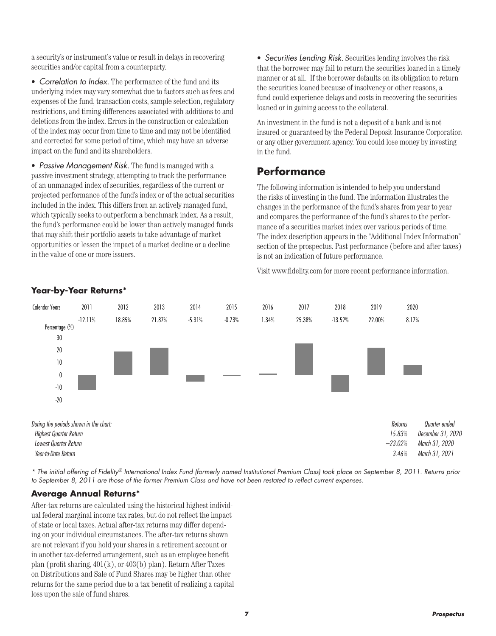a security's or instrument's value or result in delays in recovering securities and/or capital from a counterparty.

• *Correlation to Index.* The performance of the fund and its underlying index may vary somewhat due to factors such as fees and expenses of the fund, transaction costs, sample selection, regulatory restrictions, and timing differences associated with additions to and deletions from the index. Errors in the construction or calculation of the index may occur from time to time and may not be identified and corrected for some period of time, which may have an adverse impact on the fund and its shareholders.

• *Passive Management Risk.* The fund is managed with a passive investment strategy, attempting to track the performance of an unmanaged index of securities, regardless of the current or projected performance of the fund's index or of the actual securities included in the index. This differs from an actively managed fund, which typically seeks to outperform a benchmark index. As a result, the fund's performance could be lower than actively managed funds that may shift their portfolio assets to take advantage of market opportunities or lessen the impact of a market decline or a decline in the value of one or more issuers.

• *Securities Lending Risk.* Securities lending involves the risk that the borrower may fail to return the securities loaned in a timely manner or at all. If the borrower defaults on its obligation to return the securities loaned because of insolvency or other reasons, a fund could experience delays and costs in recovering the securities loaned or in gaining access to the collateral.

An investment in the fund is not a deposit of a bank and is not insured or guaranteed by the Federal Deposit Insurance Corporation or any other government agency. You could lose money by investing in the fund.

### **Performance**

The following information is intended to help you understand the risks of investing in the fund. The information illustrates the changes in the performance of the fund's shares from year to year and compares the performance of the fund's shares to the performance of a securities market index over various periods of time. The index description appears in the "Additional Index Information" section of the prospectus. Past performance (before and after taxes) is not an indication of future performance.

Visit www.fidelity.com for more recent performance information.



*\* The initial offering of Fidelity® International Index Fund (formerly named Institutional Premium Class) took place on September 8, 2011. Returns prior*  to September 8, 2011 are those of the former Premium Class and have not been restated to reflect current expenses.

#### **Average Annual Returns\***

After-tax returns are calculated using the historical highest individual federal marginal income tax rates, but do not reflect the impact of state or local taxes. Actual after-tax returns may differ depending on your individual circumstances. The after-tax returns shown are not relevant if you hold your shares in a retirement account or in another tax-deferred arrangement, such as an employee benefit plan (profit sharing, 401(k), or 403(b) plan). Return After Taxes on Distributions and Sale of Fund Shares may be higher than other returns for the same period due to a tax benefit of realizing a capital loss upon the sale of fund shares.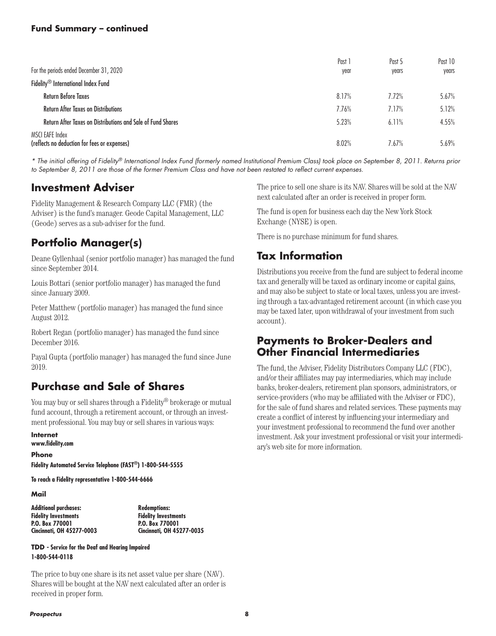#### **Fund Summary – continued**

| For the periods ended December 31, 2020                         | Past 1<br>year | Past 5<br>years | Past 10<br>years |
|-----------------------------------------------------------------|----------------|-----------------|------------------|
| Fidelity <sup>®</sup> International Index Fund                  |                |                 |                  |
| <b>Return Before Taxes</b>                                      | 8.17%          | 7.72%           | 5.67%            |
| <b>Return After Taxes on Distributions</b>                      | 7.76%          | 7.17%           | 5.12%            |
| Return After Taxes on Distributions and Sale of Fund Shares     | 5.23%          | 6.11%           | 4.55%            |
| MSCI EAFE Index<br>(reflects no deduction for fees or expenses) | 8.02%          | 7.67%           | 5.69%            |

*\* The initial offering of Fidelity® International Index Fund (formerly named Institutional Premium Class) took place on September 8, 2011. Returns prior to September 8, 2011 are those of the former Premium Class and have not been restated to reflect current expenses.* 

### **Investment Adviser**

Fidelity Management & Research Company LLC (FMR) (the Adviser) is the fund's manager. Geode Capital Management, LLC (Geode) serves as a sub-adviser for the fund.

### **Portfolio Manager(s)**

Deane Gyllenhaal (senior portfolio manager) has managed the fund since September 2014.

Louis Bottari (senior portfolio manager) has managed the fund since January 2009.

Peter Matthew (portfolio manager) has managed the fund since August 2012.

Robert Regan (portfolio manager) has managed the fund since December 2016.

Payal Gupta (portfolio manager) has managed the fund since June 2019.

### **Purchase and Sale of Shares**

You may buy or sell shares through a Fidelity® brokerage or mutual fund account, through a retirement account, or through an investment professional. You may buy or sell shares in various ways:

**Internet www.fidelity.com**

**Phone Fidelity Automated Service Telephone (FAST®) 1-800-544-5555**

**To reach a Fidelity representative 1-800-544-6666**

**Mail**

| <b>Additional purchases:</b> |
|------------------------------|
| <b>Fidelity Investments</b>  |
| P.O. Box 770001              |
| Cincinnati, OH 45277-0003    |

**Additional purchases: Redemptions: Fidelity Investments P.O. Box 770001 Cincinnati, OH 45277-0035**

**TDD - Service for the Deaf and Hearing Impaired 1-800-544-0118**

The price to buy one share is its net asset value per share (NAV). Shares will be bought at the NAV next calculated after an order is received in proper form.

The price to sell one share is its NAV. Shares will be sold at the NAV next calculated after an order is received in proper form.

The fund is open for business each day the New York Stock Exchange (NYSE) is open.

There is no purchase minimum for fund shares.

### **Tax Information**

Distributions you receive from the fund are subject to federal income tax and generally will be taxed as ordinary income or capital gains, and may also be subject to state or local taxes, unless you are investing through a tax-advantaged retirement account (in which case you may be taxed later, upon withdrawal of your investment from such account).

### **Payments to Broker-Dealers and Other Financial Intermediaries**

The fund, the Adviser, Fidelity Distributors Company LLC (FDC), and/or their affiliates may pay intermediaries, which may include banks, broker-dealers, retirement plan sponsors, administrators, or service-providers (who may be affiliated with the Adviser or FDC), for the sale of fund shares and related services. These payments may create a conflict of interest by influencing your intermediary and your investment professional to recommend the fund over another investment. Ask your investment professional or visit your intermediary's web site for more information.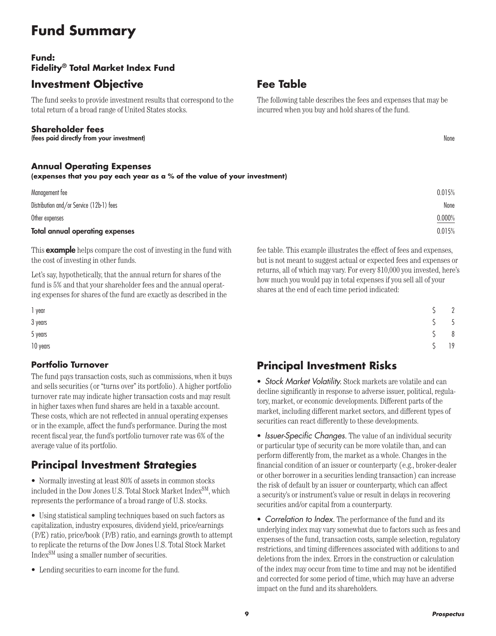# **Fund Summary**

### **Fund: Fidelity® Total Market Index Fund**

### **Investment Objective**

The fund seeks to provide investment results that correspond to the total return of a broad range of United States stocks.

#### **Shareholder fees**

(fees paid directly from your investment) None

#### **Annual Operating Expenses**

**(expenses that you pay each year as a % of the value of your investment)**

| Total annual operating expenses          | 0.015% |
|------------------------------------------|--------|
| Other expenses                           | 0.000% |
| Distribution and/or Service (12b-1) fees | None   |
| Management fee                           | 0.015% |

This **example** helps compare the cost of investing in the fund with the cost of investing in other funds.

Let's say, hypothetically, that the annual return for shares of the fund is 5% and that your shareholder fees and the annual operating expenses for shares of the fund are exactly as described in the

#### **Portfolio Turnover**

The fund pays transaction costs, such as commissions, when it buys and sells securities (or "turns over" its portfolio). A higher portfolio turnover rate may indicate higher transaction costs and may result in higher taxes when fund shares are held in a taxable account. These costs, which are not reflected in annual operating expenses or in the example, affect the fund's performance. During the most recent fiscal year, the fund's portfolio turnover rate was 6% of the average value of its portfolio.

# **Principal Investment Strategies**

• Normally investing at least 80% of assets in common stocks included in the Dow Jones U.S. Total Stock Market Index<sup>SM</sup>, which represents the performance of a broad range of U.S. stocks.

• Using statistical sampling techniques based on such factors as capitalization, industry exposures, dividend yield, price/earnings (P/E) ratio, price/book (P/B) ratio, and earnings growth to attempt to replicate the returns of the Dow Jones U.S. Total Stock Market IndexSM using a smaller number of securities.

• Lending securities to earn income for the fund.

#### fee table. This example illustrates the effect of fees and expenses, but is not meant to suggest actual or expected fees and expenses or returns, all of which may vary. For every \$10,000 you invested, here's how much you would pay in total expenses if you sell all of your shares at the end of each time period indicated:

| 1 year   | $\overline{2}$ |
|----------|----------------|
| 3 years  | $5^{\circ}$    |
| 5 years  | 8 <sup>8</sup> |
| 10 years | 19             |

## **Principal Investment Risks**

• *Stock Market Volatility.* Stock markets are volatile and can decline significantly in response to adverse issuer, political, regulatory, market, or economic developments. Different parts of the market, including different market sectors, and different types of securities can react differently to these developments.

• *Issuer-Specific Changes.* The value of an individual security or particular type of security can be more volatile than, and can perform differently from, the market as a whole. Changes in the financial condition of an issuer or counterparty (e.g., broker-dealer or other borrower in a securities lending transaction) can increase the risk of default by an issuer or counterparty, which can affect a security's or instrument's value or result in delays in recovering securities and/or capital from a counterparty.

• *Correlation to Index.* The performance of the fund and its underlying index may vary somewhat due to factors such as fees and expenses of the fund, transaction costs, sample selection, regulatory restrictions, and timing differences associated with additions to and deletions from the index. Errors in the construction or calculation of the index may occur from time to time and may not be identified and corrected for some period of time, which may have an adverse impact on the fund and its shareholders.

# **Fee Table**

The following table describes the fees and expenses that may be incurred when you buy and hold shares of the fund.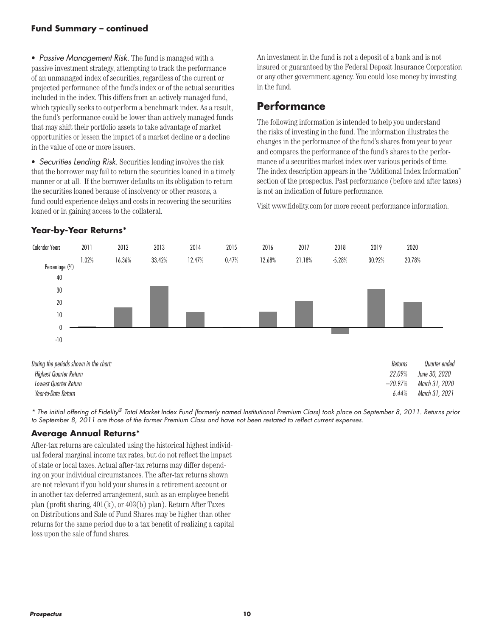#### **Fund Summary – continued**

• *Passive Management Risk.* The fund is managed with a passive investment strategy, attempting to track the performance of an unmanaged index of securities, regardless of the current or projected performance of the fund's index or of the actual securities included in the index. This differs from an actively managed fund, which typically seeks to outperform a benchmark index. As a result, the fund's performance could be lower than actively managed funds that may shift their portfolio assets to take advantage of market opportunities or lessen the impact of a market decline or a decline in the value of one or more issuers.

• *Securities Lending Risk.* Securities lending involves the risk that the borrower may fail to return the securities loaned in a timely manner or at all. If the borrower defaults on its obligation to return the securities loaned because of insolvency or other reasons, a fund could experience delays and costs in recovering the securities loaned or in gaining access to the collateral.

An investment in the fund is not a deposit of a bank and is not insured or guaranteed by the Federal Deposit Insurance Corporation or any other government agency. You could lose money by investing in the fund.

### **Performance**

The following information is intended to help you understand the risks of investing in the fund. The information illustrates the changes in the performance of the fund's shares from year to year and compares the performance of the fund's shares to the performance of a securities market index over various periods of time. The index description appears in the "Additional Index Information" section of the prospectus. Past performance (before and after taxes) is not an indication of future performance.

Visit www.fidelity.com for more recent performance information.



*\* The initial offering of Fidelity® Total Market Index Fund (formerly named Institutional Premium Class) took place on September 8, 2011. Returns prior*  to September 8, 2011 are those of the former Premium Class and have not been restated to reflect current expenses.

#### **Average Annual Returns\***

After-tax returns are calculated using the historical highest individual federal marginal income tax rates, but do not reflect the impact of state or local taxes. Actual after-tax returns may differ depending on your individual circumstances. The after-tax returns shown are not relevant if you hold your shares in a retirement account or in another tax-deferred arrangement, such as an employee benefit plan (profit sharing, 401(k), or 403(b) plan). Return After Taxes on Distributions and Sale of Fund Shares may be higher than other returns for the same period due to a tax benefit of realizing a capital loss upon the sale of fund shares.

### **Year-by-Year Returns\***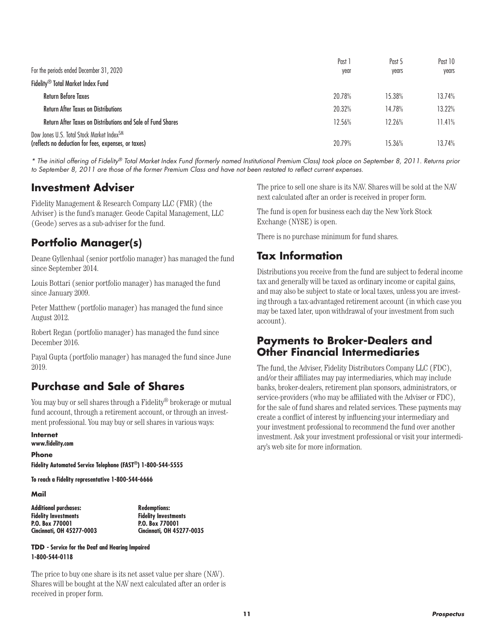|                                                                                                               | Past 1 | Past 5 | Past 10 |
|---------------------------------------------------------------------------------------------------------------|--------|--------|---------|
| For the periods ended December 31, 2020                                                                       | year   | years  | vears   |
| Fidelity <sup>®</sup> Total Market Index Fund                                                                 |        |        |         |
| <b>Return Before Taxes</b>                                                                                    | 20.78% | 15.38% | 13.74%  |
| <b>Return After Taxes on Distributions</b>                                                                    | 20.32% | 14.78% | 13.22%  |
| Return After Taxes on Distributions and Sale of Fund Shares                                                   | 12.56% | 12.26% | 11.41%  |
| Dow Jones U.S. Total Stock Market Index <sup>SM</sup><br>(reflects no deduction for fees, expenses, or taxes) | 20.79% | 15.36% | 13.74%  |

*\* The initial offering of Fidelity® Total Market Index Fund (formerly named Institutional Premium Class) took place on September 8, 2011. Returns prior to September 8, 2011 are those of the former Premium Class and have not been restated to reflect current expenses.* 

### **Investment Adviser**

Fidelity Management & Research Company LLC (FMR) (the Adviser) is the fund's manager. Geode Capital Management, LLC (Geode) serves as a sub-adviser for the fund.

### **Portfolio Manager(s)**

Deane Gyllenhaal (senior portfolio manager) has managed the fund since September 2014.

Louis Bottari (senior portfolio manager) has managed the fund since January 2009.

Peter Matthew (portfolio manager) has managed the fund since August 2012.

Robert Regan (portfolio manager) has managed the fund since December 2016.

Payal Gupta (portfolio manager) has managed the fund since June 2019.

### **Purchase and Sale of Shares**

You may buy or sell shares through a Fidelity® brokerage or mutual fund account, through a retirement account, or through an investment professional. You may buy or sell shares in various ways:

**Internet www.fidelity.com**

**Phone Fidelity Automated Service Telephone (FAST®) 1-800-544-5555**

**To reach a Fidelity representative 1-800-544-6666**

**Mail**

| <b>Additional purchases:</b> |
|------------------------------|
| <b>Fidelity Investments</b>  |
| P.O. Box 770001              |
| Cincinnati, OH 45277-0003    |

**Additional purchases: Redemptions: Fidelity Investments P.O. Box 770001 Cincinnati, OH 45277-0035**

**TDD - Service for the Deaf and Hearing Impaired 1-800-544-0118**

The price to buy one share is its net asset value per share (NAV). Shares will be bought at the NAV next calculated after an order is received in proper form.

The price to sell one share is its NAV. Shares will be sold at the NAV next calculated after an order is received in proper form.

The fund is open for business each day the New York Stock Exchange (NYSE) is open.

There is no purchase minimum for fund shares.

### **Tax Information**

Distributions you receive from the fund are subject to federal income tax and generally will be taxed as ordinary income or capital gains, and may also be subject to state or local taxes, unless you are investing through a tax-advantaged retirement account (in which case you may be taxed later, upon withdrawal of your investment from such account).

### **Payments to Broker-Dealers and Other Financial Intermediaries**

The fund, the Adviser, Fidelity Distributors Company LLC (FDC), and/or their affiliates may pay intermediaries, which may include banks, broker-dealers, retirement plan sponsors, administrators, or service-providers (who may be affiliated with the Adviser or FDC), for the sale of fund shares and related services. These payments may create a conflict of interest by influencing your intermediary and your investment professional to recommend the fund over another investment. Ask your investment professional or visit your intermediary's web site for more information.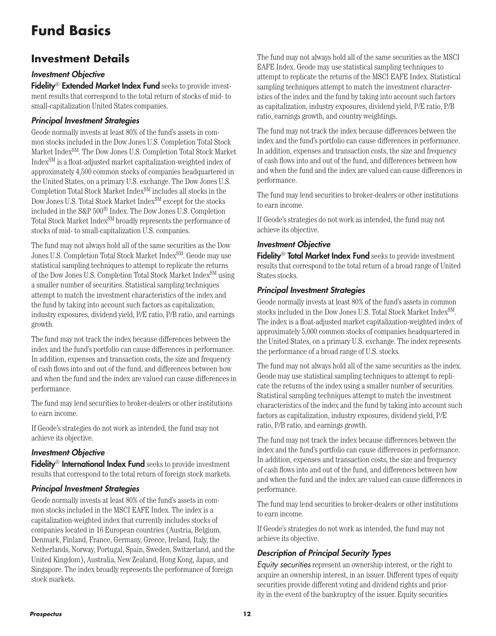# **Fund Basics**

## **Investment Details**

#### *Investment Objective*

Fidelity<sup>®</sup> Extended Market Index Fund seeks to provide investment results that correspond to the total return of stocks of mid- to small-capitalization United States companies.

#### *Principal Investment Strategies*

Geode normally invests at least 80% of the fund's assets in common stocks included in the Dow Jones U.S. Completion Total Stock Market IndexSM. The Dow Jones U.S. Completion Total Stock Market IndexSM is a float-adjusted market capitalization-weighted index of approximately 4,500 common stocks of companies headquartered in the United States, on a primary U.S. exchange. The Dow Jones U.S. Completion Total Stock Market IndexSM includes all stocks in the Dow Jones U.S. Total Stock Market Index<sup>SM</sup> except for the stocks included in the S&P 500® Index. The Dow Jones U.S. Completion Total Stock Market Index<sup>SM</sup> broadly represents the performance of stocks of mid- to small-capitalization U.S. companies.

The fund may not always hold all of the same securities as the Dow Jones U.S. Completion Total Stock Market Index<sup>SM</sup>. Geode may use statistical sampling techniques to attempt to replicate the returns of the Dow Jones U.S. Completion Total Stock Market IndexSM using a smaller number of securities. Statistical sampling techniques attempt to match the investment characteristics of the index and the fund by taking into account such factors as capitalization, industry exposures, dividend yield, P/E ratio, P/B ratio, and earnings growth.

The fund may not track the index because differences between the index and the fund's portfolio can cause differences in performance. In addition, expenses and transaction costs, the size and frequency of cash flows into and out of the fund, and differences between how and when the fund and the index are valued can cause differences in performance.

The fund may lend securities to broker-dealers or other institutions to earn income.

If Geode's strategies do not work as intended, the fund may not achieve its objective.

#### *Investment Objective*

Fidelity<sup>®</sup> International Index Fund seeks to provide investment results that correspond to the total return of foreign stock markets.

#### *Principal Investment Strategies*

Geode normally invests at least 80% of the fund's assets in common stocks included in the MSCI EAFE Index. The index is a capitalization-weighted index that currently includes stocks of companies located in 16 European countries (Austria, Belgium, Denmark, Finland, France, Germany, Greece, Ireland, Italy, the Netherlands, Norway, Portugal, Spain, Sweden, Switzerland, and the United Kingdom), Australia, New Zealand, Hong Kong, Japan, and Singapore. The index broadly represents the performance of foreign stock markets.

The fund may not always hold all of the same securities as the MSCI EAFE Index. Geode may use statistical sampling techniques to attempt to replicate the returns of the MSCI EAFE Index. Statistical sampling techniques attempt to match the investment characteristics of the index and the fund by taking into account such factors as capitalization, industry exposures, dividend yield, P/E ratio, P/B ratio, earnings growth, and country weightings.

The fund may not track the index because differences between the index and the fund's portfolio can cause differences in performance. In addition, expenses and transaction costs, the size and frequency of cash flows into and out of the fund, and differences between how and when the fund and the index are valued can cause differences in performance.

The fund may lend securities to broker-dealers or other institutions to earn income.

If Geode's strategies do not work as intended, the fund may not achieve its objective.

#### *Investment Objective*

Fidelity<sup>®</sup> Total Market Index Fund seeks to provide investment results that correspond to the total return of a broad range of United States stocks.

#### *Principal Investment Strategies*

Geode normally invests at least 80% of the fund's assets in common stocks included in the Dow Jones U.S. Total Stock Market Index<sup>SM</sup>. The index is a float-adjusted market capitalization-weighted index of approximately 5,000 common stocks of companies headquartered in the United States, on a primary U.S. exchange. The index represents the performance of a broad range of U.S. stocks.

The fund may not always hold all of the same securities as the index. Geode may use statistical sampling techniques to attempt to replicate the returns of the index using a smaller number of securities. Statistical sampling techniques attempt to match the investment characteristics of the index and the fund by taking into account such factors as capitalization, industry exposures, dividend yield, P/E ratio, P/B ratio, and earnings growth.

The fund may not track the index because differences between the index and the fund's portfolio can cause differences in performance. In addition, expenses and transaction costs, the size and frequency of cash flows into and out of the fund, and differences between how and when the fund and the index are valued can cause differences in performance.

The fund may lend securities to broker-dealers or other institutions to earn income.

If Geode's strategies do not work as intended, the fund may not achieve its objective.

### *Description of Principal Security Types*

*Equity securities* represent an ownership interest, or the right to acquire an ownership interest, in an issuer. Different types of equity securities provide different voting and dividend rights and priority in the event of the bankruptcy of the issuer. Equity securities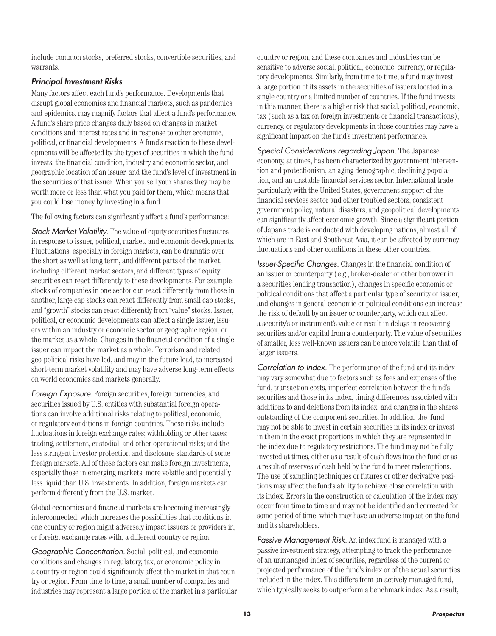include common stocks, preferred stocks, convertible securities, and warrants.

#### *Principal Investment Risks*

Many factors affect each fund's performance. Developments that disrupt global economies and financial markets, such as pandemics and epidemics, may magnify factors that affect a fund's performance. A fund's share price changes daily based on changes in market conditions and interest rates and in response to other economic, political, or financial developments. A fund's reaction to these developments will be affected by the types of securities in which the fund invests, the financial condition, industry and economic sector, and geographic location of an issuer, and the fund's level of investment in the securities of that issuer. When you sell your shares they may be worth more or less than what you paid for them, which means that you could lose money by investing in a fund.

The following factors can significantly affect a fund's performance:

*Stock Market Volatility*. The value of equity securities fluctuates in response to issuer, political, market, and economic developments. Fluctuations, especially in foreign markets, can be dramatic over the short as well as long term, and different parts of the market, including different market sectors, and different types of equity securities can react differently to these developments. For example, stocks of companies in one sector can react differently from those in another, large cap stocks can react differently from small cap stocks, and "growth" stocks can react differently from "value" stocks. Issuer, political, or economic developments can affect a single issuer, issuers within an industry or economic sector or geographic region, or the market as a whole. Changes in the financial condition of a single issuer can impact the market as a whole. Terrorism and related geo-political risks have led, and may in the future lead, to increased short-term market volatility and may have adverse long-term effects on world economies and markets generally.

*Foreign Exposure*. Foreign securities, foreign currencies, and securities issued by U.S. entities with substantial foreign operations can involve additional risks relating to political, economic, or regulatory conditions in foreign countries. These risks include fluctuations in foreign exchange rates; withholding or other taxes; trading, settlement, custodial, and other operational risks; and the less stringent investor protection and disclosure standards of some foreign markets. All of these factors can make foreign investments, especially those in emerging markets, more volatile and potentially less liquid than U.S. investments. In addition, foreign markets can perform differently from the U.S. market.

Global economies and financial markets are becoming increasingly interconnected, which increases the possibilities that conditions in one country or region might adversely impact issuers or providers in, or foreign exchange rates with, a different country or region.

*Geographic Concentration.* Social, political, and economic conditions and changes in regulatory, tax, or economic policy in a country or region could significantly affect the market in that country or region. From time to time, a small number of companies and industries may represent a large portion of the market in a particular

country or region, and these companies and industries can be sensitive to adverse social, political, economic, currency, or regulatory developments. Similarly, from time to time, a fund may invest a large portion of its assets in the securities of issuers located in a single country or a limited number of countries. If the fund invests in this manner, there is a higher risk that social, political, economic, tax (such as a tax on foreign investments or financial transactions), currency, or regulatory developments in those countries may have a significant impact on the fund's investment performance.

*Special Considerations regarding Japan.* The Japanese economy, at times, has been characterized by government intervention and protectionism, an aging demographic, declining population, and an unstable financial services sector. International trade, particularly with the United States, government support of the financial services sector and other troubled sectors, consistent government policy, natural disasters, and geopolitical developments can significantly affect economic growth. Since a significant portion of Japan's trade is conducted with developing nations, almost all of which are in East and Southeast Asia, it can be affected by currency fluctuations and other conditions in these other countries.

*Issuer-Specific Changes.* Changes in the financial condition of an issuer or counterparty (e.g., broker-dealer or other borrower in a securities lending transaction), changes in specific economic or political conditions that affect a particular type of security or issuer, and changes in general economic or political conditions can increase the risk of default by an issuer or counterparty, which can affect a security's or instrument's value or result in delays in recovering securities and/or capital from a counterparty. The value of securities of smaller, less well-known issuers can be more volatile than that of larger issuers.

*Correlation to Index.* The performance of the fund and its index may vary somewhat due to factors such as fees and expenses of the fund, transaction costs, imperfect correlation between the fund's securities and those in its index, timing differences associated with additions to and deletions from its index, and changes in the shares outstanding of the component securities. In addition, the fund may not be able to invest in certain securities in its index or invest in them in the exact proportions in which they are represented in the index due to regulatory restrictions. The fund may not be fully invested at times, either as a result of cash flows into the fund or as a result of reserves of cash held by the fund to meet redemptions. The use of sampling techniques or futures or other derivative positions may affect the fund's ability to achieve close correlation with its index. Errors in the construction or calculation of the index may occur from time to time and may not be identified and corrected for some period of time, which may have an adverse impact on the fund and its shareholders.

*Passive Management Risk.* An index fund is managed with a passive investment strategy, attempting to track the performance of an unmanaged index of securities, regardless of the current or projected performance of the fund's index or of the actual securities included in the index. This differs from an actively managed fund, which typically seeks to outperform a benchmark index. As a result,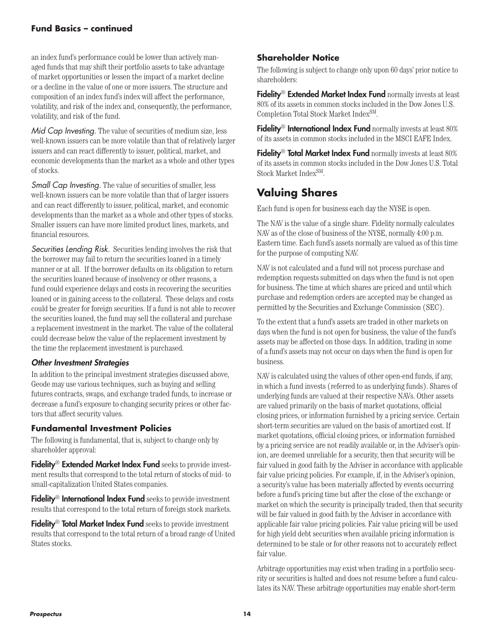#### **Fund Basics – continued**

an index fund's performance could be lower than actively managed funds that may shift their portfolio assets to take advantage of market opportunities or lessen the impact of a market decline or a decline in the value of one or more issuers. The structure and composition of an index fund's index will affect the performance, volatility, and risk of the index and, consequently, the performance, volatility, and risk of the fund.

*Mid Cap Investing.* The value of securities of medium size, less well-known issuers can be more volatile than that of relatively larger issuers and can react differently to issuer, political, market, and economic developments than the market as a whole and other types of stocks.

*Small Cap Investing.* The value of securities of smaller, less well-known issuers can be more volatile than that of larger issuers and can react differently to issuer, political, market, and economic developments than the market as a whole and other types of stocks. Smaller issuers can have more limited product lines, markets, and financial resources.

*Securities Lending Risk.* Securities lending involves the risk that the borrower may fail to return the securities loaned in a timely manner or at all. If the borrower defaults on its obligation to return the securities loaned because of insolvency or other reasons, a fund could experience delays and costs in recovering the securities loaned or in gaining access to the collateral. These delays and costs could be greater for foreign securities. If a fund is not able to recover the securities loaned, the fund may sell the collateral and purchase a replacement investment in the market. The value of the collateral could decrease below the value of the replacement investment by the time the replacement investment is purchased.

#### *Other Investment Strategies*

In addition to the principal investment strategies discussed above, Geode may use various techniques, such as buying and selling futures contracts, swaps, and exchange traded funds, to increase or decrease a fund's exposure to changing security prices or other factors that affect security values.

#### **Fundamental Investment Policies**

The following is fundamental, that is, subject to change only by shareholder approval:

Fidelity<sup>®</sup> Extended Market Index Fund seeks to provide investment results that correspond to the total return of stocks of mid- to small-capitalization United States companies.

Fidelity<sup>®</sup> International Index Fund seeks to provide investment results that correspond to the total return of foreign stock markets.

Fidelity<sup>®</sup> Total Market Index Fund seeks to provide investment results that correspond to the total return of a broad range of United States stocks.

#### **Shareholder Notice**

The following is subject to change only upon 60 days' prior notice to shareholders:

Fidelity<sup>®</sup> Extended Market Index Fund normally invests at least 80% of its assets in common stocks included in the Dow Jones U.S. Completion Total Stock Market IndexSM.

Fidelity<sup>®</sup> International Index Fund normally invests at least 80% of its assets in common stocks included in the MSCI EAFE Index.

Fidelity<sup>®</sup> Total Market Index Fund normally invests at least 80% of its assets in common stocks included in the Dow Jones U.S. Total Stock Market Index<sup>SM</sup>.

### **Valuing Shares**

Each fund is open for business each day the NYSE is open.

The NAV is the value of a single share. Fidelity normally calculates NAV as of the close of business of the NYSE, normally 4:00 p.m. Eastern time. Each fund's assets normally are valued as of this time for the purpose of computing NAV.

NAV is not calculated and a fund will not process purchase and redemption requests submitted on days when the fund is not open for business. The time at which shares are priced and until which purchase and redemption orders are accepted may be changed as permitted by the Securities and Exchange Commission (SEC).

To the extent that a fund's assets are traded in other markets on days when the fund is not open for business, the value of the fund's assets may be affected on those days. In addition, trading in some of a fund's assets may not occur on days when the fund is open for business.

NAV is calculated using the values of other open-end funds, if any, in which a fund invests (referred to as underlying funds). Shares of underlying funds are valued at their respective NAVs. Other assets are valued primarily on the basis of market quotations, official closing prices, or information furnished by a pricing service. Certain short-term securities are valued on the basis of amortized cost. If market quotations, official closing prices, or information furnished by a pricing service are not readily available or, in the Adviser's opinion, are deemed unreliable for a security, then that security will be fair valued in good faith by the Adviser in accordance with applicable fair value pricing policies. For example, if, in the Adviser's opinion, a security's value has been materially affected by events occurring before a fund's pricing time but after the close of the exchange or market on which the security is principally traded, then that security will be fair valued in good faith by the Adviser in accordance with applicable fair value pricing policies. Fair value pricing will be used for high yield debt securities when available pricing information is determined to be stale or for other reasons not to accurately reflect fair value.

Arbitrage opportunities may exist when trading in a portfolio security or securities is halted and does not resume before a fund calculates its NAV. These arbitrage opportunities may enable short-term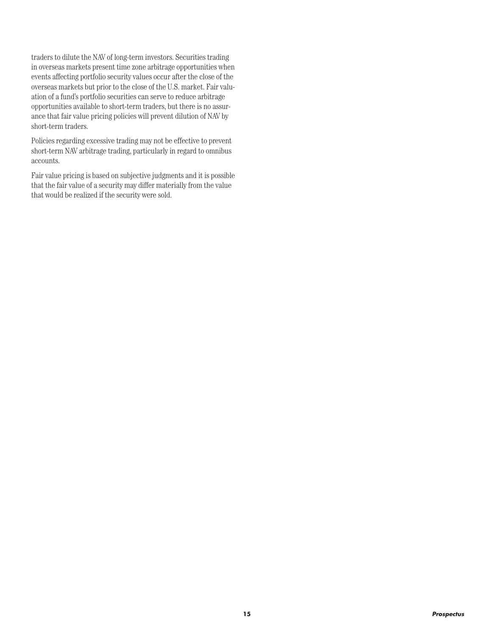traders to dilute the NAV of long-term investors. Securities trading in overseas markets present time zone arbitrage opportunities when events affecting portfolio security values occur after the close of the overseas markets but prior to the close of the U.S. market. Fair valuation of a fund's portfolio securities can serve to reduce arbitrage opportunities available to short-term traders, but there is no assurance that fair value pricing policies will prevent dilution of NAV by short-term traders.

Policies regarding excessive trading may not be effective to prevent short-term NAV arbitrage trading, particularly in regard to omnibus accounts.

Fair value pricing is based on subjective judgments and it is possible that the fair value of a security may differ materially from the value that would be realized if the security were sold.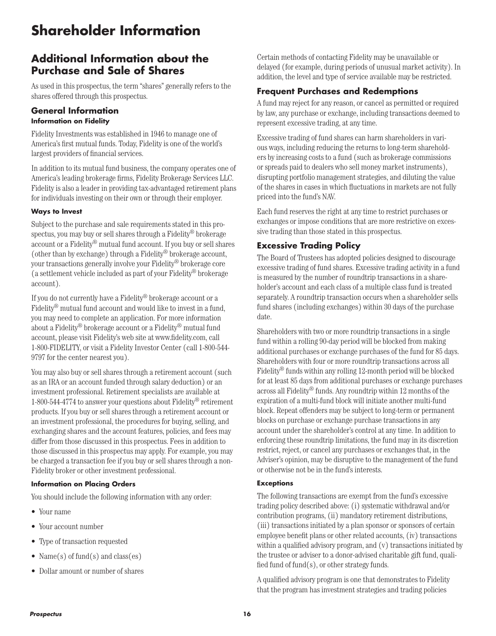# **Shareholder Information**

### **Additional Information about the Purchase and Sale of Shares**

As used in this prospectus, the term "shares" generally refers to the shares offered through this prospectus.

#### **General Information Information on Fidelity**

Fidelity Investments was established in 1946 to manage one of America's first mutual funds. Today, Fidelity is one of the world's largest providers of financial services.

In addition to its mutual fund business, the company operates one of America's leading brokerage firms, Fidelity Brokerage Services LLC. Fidelity is also a leader in providing tax-advantaged retirement plans for individuals investing on their own or through their employer.

#### **Ways to Invest**

Subject to the purchase and sale requirements stated in this prospectus, you may buy or sell shares through a Fidelity® brokerage account or a Fidelity® mutual fund account. If you buy or sell shares (other than by exchange) through a Fidelity® brokerage account, your transactions generally involve your Fidelity® brokerage core (a settlement vehicle included as part of your Fidelity® brokerage account).

If you do not currently have a Fidelity® brokerage account or a Fidelity<sup>®</sup> mutual fund account and would like to invest in a fund. you may need to complete an application. For more information about a Fidelity® brokerage account or a Fidelity® mutual fund account, please visit Fidelity's web site at www.fidelity.com, call 1-800-FIDELITY, or visit a Fidelity Investor Center (call 1-800-544- 9797 for the center nearest you).

You may also buy or sell shares through a retirement account (such as an IRA or an account funded through salary deduction) or an investment professional. Retirement specialists are available at 1-800-544-4774 to answer your questions about Fidelity® retirement products. If you buy or sell shares through a retirement account or an investment professional, the procedures for buying, selling, and exchanging shares and the account features, policies, and fees may differ from those discussed in this prospectus. Fees in addition to those discussed in this prospectus may apply. For example, you may be charged a transaction fee if you buy or sell shares through a non-Fidelity broker or other investment professional.

#### **Information on Placing Orders**

You should include the following information with any order:

- Your name
- Your account number
- Type of transaction requested
- Name(s) of fund(s) and class(es)
- Dollar amount or number of shares

Certain methods of contacting Fidelity may be unavailable or delayed (for example, during periods of unusual market activity). In addition, the level and type of service available may be restricted.

#### **Frequent Purchases and Redemptions**

A fund may reject for any reason, or cancel as permitted or required by law, any purchase or exchange, including transactions deemed to represent excessive trading, at any time.

Excessive trading of fund shares can harm shareholders in various ways, including reducing the returns to long-term shareholders by increasing costs to a fund (such as brokerage commissions or spreads paid to dealers who sell money market instruments), disrupting portfolio management strategies, and diluting the value of the shares in cases in which fluctuations in markets are not fully priced into the fund's NAV.

Each fund reserves the right at any time to restrict purchases or exchanges or impose conditions that are more restrictive on excessive trading than those stated in this prospectus.

#### **Excessive Trading Policy**

The Board of Trustees has adopted policies designed to discourage excessive trading of fund shares. Excessive trading activity in a fund is measured by the number of roundtrip transactions in a shareholder's account and each class of a multiple class fund is treated separately. A roundtrip transaction occurs when a shareholder sells fund shares (including exchanges) within 30 days of the purchase date.

Shareholders with two or more roundtrip transactions in a single fund within a rolling 90-day period will be blocked from making additional purchases or exchange purchases of the fund for 85 days. Shareholders with four or more roundtrip transactions across all Fidelity® funds within any rolling 12-month period will be blocked for at least 85 days from additional purchases or exchange purchases across all Fidelity® funds. Any roundtrip within 12 months of the expiration of a multi-fund block will initiate another multi-fund block. Repeat offenders may be subject to long-term or permanent blocks on purchase or exchange purchase transactions in any account under the shareholder's control at any time. In addition to enforcing these roundtrip limitations, the fund may in its discretion restrict, reject, or cancel any purchases or exchanges that, in the Adviser's opinion, may be disruptive to the management of the fund or otherwise not be in the fund's interests.

#### **Exceptions**

The following transactions are exempt from the fund's excessive trading policy described above: (i) systematic withdrawal and/or contribution programs, (ii) mandatory retirement distributions, (iii) transactions initiated by a plan sponsor or sponsors of certain employee benefit plans or other related accounts, (iv) transactions within a qualified advisory program, and (v) transactions initiated by the trustee or adviser to a donor-advised charitable gift fund, qualified fund of fund(s), or other strategy funds.

A qualified advisory program is one that demonstrates to Fidelity that the program has investment strategies and trading policies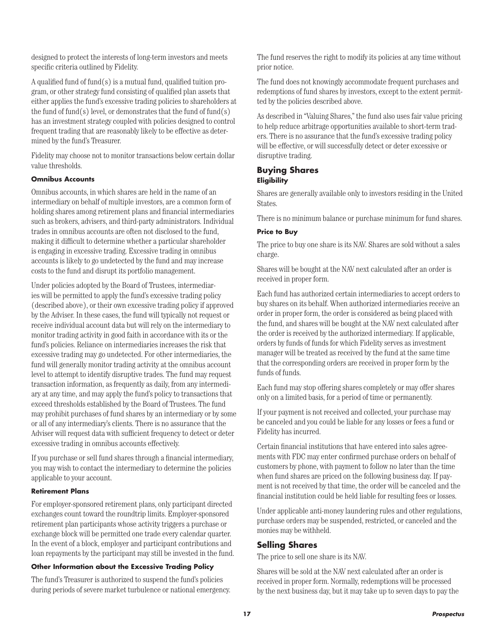designed to protect the interests of long-term investors and meets specific criteria outlined by Fidelity.

A qualified fund of fund(s) is a mutual fund, qualified tuition program, or other strategy fund consisting of qualified plan assets that either applies the fund's excessive trading policies to shareholders at the fund of fund(s) level, or demonstrates that the fund of fund(s) has an investment strategy coupled with policies designed to control frequent trading that are reasonably likely to be effective as determined by the fund's Treasurer.

Fidelity may choose not to monitor transactions below certain dollar value thresholds.

#### **Omnibus Accounts**

Omnibus accounts, in which shares are held in the name of an intermediary on behalf of multiple investors, are a common form of holding shares among retirement plans and financial intermediaries such as brokers, advisers, and third-party administrators. Individual trades in omnibus accounts are often not disclosed to the fund, making it difficult to determine whether a particular shareholder is engaging in excessive trading. Excessive trading in omnibus accounts is likely to go undetected by the fund and may increase costs to the fund and disrupt its portfolio management.

Under policies adopted by the Board of Trustees, intermediaries will be permitted to apply the fund's excessive trading policy (described above), or their own excessive trading policy if approved by the Adviser. In these cases, the fund will typically not request or receive individual account data but will rely on the intermediary to monitor trading activity in good faith in accordance with its or the fund's policies. Reliance on intermediaries increases the risk that excessive trading may go undetected. For other intermediaries, the fund will generally monitor trading activity at the omnibus account level to attempt to identify disruptive trades. The fund may request transaction information, as frequently as daily, from any intermediary at any time, and may apply the fund's policy to transactions that exceed thresholds established by the Board of Trustees. The fund may prohibit purchases of fund shares by an intermediary or by some or all of any intermediary's clients. There is no assurance that the Adviser will request data with sufficient frequency to detect or deter excessive trading in omnibus accounts effectively.

If you purchase or sell fund shares through a financial intermediary, you may wish to contact the intermediary to determine the policies applicable to your account.

#### **Retirement Plans**

For employer-sponsored retirement plans, only participant directed exchanges count toward the roundtrip limits. Employer-sponsored retirement plan participants whose activity triggers a purchase or exchange block will be permitted one trade every calendar quarter. In the event of a block, employer and participant contributions and loan repayments by the participant may still be invested in the fund.

#### **Other Information about the Excessive Trading Policy**

The fund's Treasurer is authorized to suspend the fund's policies during periods of severe market turbulence or national emergency. The fund reserves the right to modify its policies at any time without prior notice.

The fund does not knowingly accommodate frequent purchases and redemptions of fund shares by investors, except to the extent permitted by the policies described above.

As described in "Valuing Shares," the fund also uses fair value pricing to help reduce arbitrage opportunities available to short-term traders. There is no assurance that the fund's excessive trading policy will be effective, or will successfully detect or deter excessive or disruptive trading.

#### **Buying Shares Eligibility**

Shares are generally available only to investors residing in the United States.

There is no minimum balance or purchase minimum for fund shares.

#### **Price to Buy**

The price to buy one share is its NAV. Shares are sold without a sales charge.

Shares will be bought at the NAV next calculated after an order is received in proper form.

Each fund has authorized certain intermediaries to accept orders to buy shares on its behalf. When authorized intermediaries receive an order in proper form, the order is considered as being placed with the fund, and shares will be bought at the NAV next calculated after the order is received by the authorized intermediary. If applicable, orders by funds of funds for which Fidelity serves as investment manager will be treated as received by the fund at the same time that the corresponding orders are received in proper form by the funds of funds.

Each fund may stop offering shares completely or may offer shares only on a limited basis, for a period of time or permanently.

If your payment is not received and collected, your purchase may be canceled and you could be liable for any losses or fees a fund or Fidelity has incurred.

Certain financial institutions that have entered into sales agreements with FDC may enter confirmed purchase orders on behalf of customers by phone, with payment to follow no later than the time when fund shares are priced on the following business day. If payment is not received by that time, the order will be canceled and the financial institution could be held liable for resulting fees or losses.

Under applicable anti-money laundering rules and other regulations, purchase orders may be suspended, restricted, or canceled and the monies may be withheld.

#### **Selling Shares**

The price to sell one share is its NAV.

Shares will be sold at the NAV next calculated after an order is received in proper form. Normally, redemptions will be processed by the next business day, but it may take up to seven days to pay the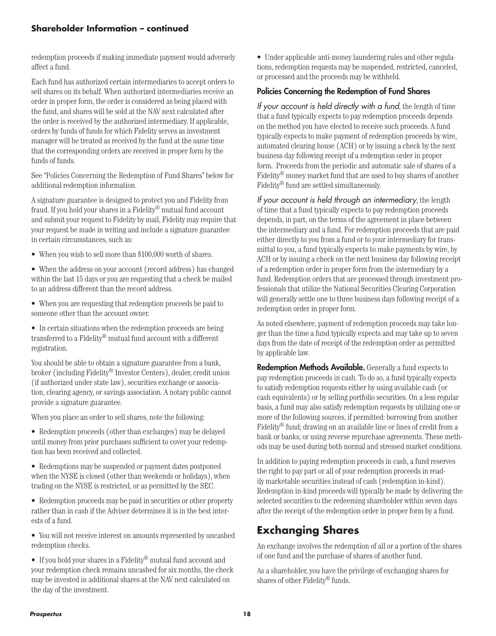#### **Shareholder Information – continued**

redemption proceeds if making immediate payment would adversely affect a fund.

Each fund has authorized certain intermediaries to accept orders to sell shares on its behalf. When authorized intermediaries receive an order in proper form, the order is considered as being placed with the fund, and shares will be sold at the NAV next calculated after the order is received by the authorized intermediary. If applicable, orders by funds of funds for which Fidelity serves as investment manager will be treated as received by the fund at the same time that the corresponding orders are received in proper form by the funds of funds.

See "Policies Concerning the Redemption of Fund Shares" below for additional redemption information.

A signature guarantee is designed to protect you and Fidelity from fraud. If you hold your shares in a Fidelity® mutual fund account and submit your request to Fidelity by mail, Fidelity may require that your request be made in writing and include a signature guarantee in certain circumstances, such as:

• When you wish to sell more than \$100,000 worth of shares.

• When the address on your account (record address) has changed within the last 15 days or you are requesting that a check be mailed to an address different than the record address.

• When you are requesting that redemption proceeds be paid to someone other than the account owner.

• In certain situations when the redemption proceeds are being transferred to a Fidelity® mutual fund account with a different registration.

You should be able to obtain a signature guarantee from a bank, broker (including Fidelity® Investor Centers), dealer, credit union (if authorized under state law), securities exchange or association, clearing agency, or savings association. A notary public cannot provide a signature guarantee.

When you place an order to sell shares, note the following:

- Redemption proceeds (other than exchanges) may be delayed until money from prior purchases sufficient to cover your redemption has been received and collected.
- Redemptions may be suspended or payment dates postponed when the NYSE is closed (other than weekends or holidays), when trading on the NYSE is restricted, or as permitted by the SEC.
- Redemption proceeds may be paid in securities or other property rather than in cash if the Adviser determines it is in the best interests of a fund.
- You will not receive interest on amounts represented by uncashed redemption checks.

• If you hold your shares in a Fidelity® mutual fund account and your redemption check remains uncashed for six months, the check may be invested in additional shares at the NAV next calculated on the day of the investment.

• Under applicable anti-money laundering rules and other regulations, redemption requests may be suspended, restricted, canceled, or processed and the proceeds may be withheld.

#### Policies Concerning the Redemption of Fund Shares

*If your account is held directly with a fund*, the length of time that a fund typically expects to pay redemption proceeds depends on the method you have elected to receive such proceeds. A fund typically expects to make payment of redemption proceeds by wire, automated clearing house (ACH) or by issuing a check by the next business day following receipt of a redemption order in proper form. Proceeds from the periodic and automatic sale of shares of a Fidelity® money market fund that are used to buy shares of another Fidelity® fund are settled simultaneously.

*If your account is held through an intermediary*, the length of time that a fund typically expects to pay redemption proceeds depends, in part, on the terms of the agreement in place between the intermediary and a fund. For redemption proceeds that are paid either directly to you from a fund or to your intermediary for transmittal to you, a fund typically expects to make payments by wire, by ACH or by issuing a check on the next business day following receipt of a redemption order in proper form from the intermediary by a fund. Redemption orders that are processed through investment professionals that utilize the National Securities Clearing Corporation will generally settle one to three business days following receipt of a redemption order in proper form.

As noted elsewhere, payment of redemption proceeds may take longer than the time a fund typically expects and may take up to seven days from the date of receipt of the redemption order as permitted by applicable law.

Redemption Methods Available. Generally a fund expects to pay redemption proceeds in cash. To do so, a fund typically expects to satisfy redemption requests either by using available cash (or cash equivalents) or by selling portfolio securities. On a less regular basis, a fund may also satisfy redemption requests by utilizing one or more of the following sources, if permitted: borrowing from another Fidelity® fund; drawing on an available line or lines of credit from a bank or banks; or using reverse repurchase agreements. These methods may be used during both normal and stressed market conditions.

In addition to paying redemption proceeds in cash, a fund reserves the right to pay part or all of your redemption proceeds in readily marketable securities instead of cash (redemption in-kind). Redemption in-kind proceeds will typically be made by delivering the selected securities to the redeeming shareholder within seven days after the receipt of the redemption order in proper form by a fund.

### **Exchanging Shares**

An exchange involves the redemption of all or a portion of the shares of one fund and the purchase of shares of another fund.

As a shareholder, you have the privilege of exchanging shares for shares of other Fidelity® funds.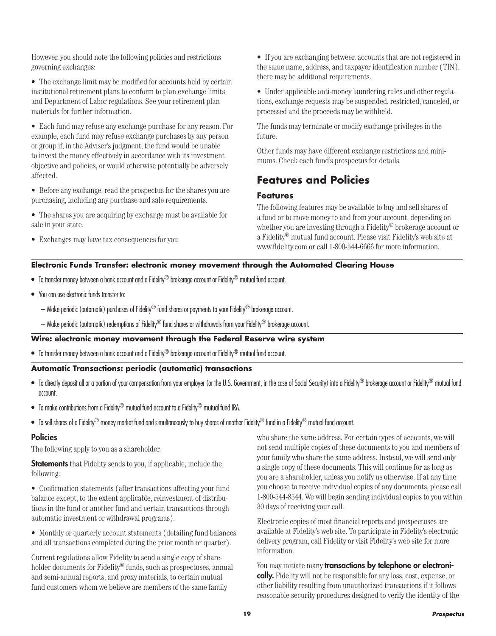However, you should note the following policies and restrictions governing exchanges:

• The exchange limit may be modified for accounts held by certain institutional retirement plans to conform to plan exchange limits and Department of Labor regulations. See your retirement plan materials for further information.

• Each fund may refuse any exchange purchase for any reason. For example, each fund may refuse exchange purchases by any person or group if, in the Adviser's judgment, the fund would be unable to invest the money effectively in accordance with its investment objective and policies, or would otherwise potentially be adversely affected.

• Before any exchange, read the prospectus for the shares you are purchasing, including any purchase and sale requirements.

- The shares you are acquiring by exchange must be available for sale in your state.
- Exchanges may have tax consequences for you.

• If you are exchanging between accounts that are not registered in the same name, address, and taxpayer identification number (TIN), there may be additional requirements.

• Under applicable anti-money laundering rules and other regulations, exchange requests may be suspended, restricted, canceled, or processed and the proceeds may be withheld.

The funds may terminate or modify exchange privileges in the future.

Other funds may have different exchange restrictions and minimums. Check each fund's prospectus for details.

### **Features and Policies**

#### **Features**

The following features may be available to buy and sell shares of a fund or to move money to and from your account, depending on whether you are investing through a Fidelity® brokerage account or a Fidelity® mutual fund account. Please visit Fidelity's web site at www.fidelity.com or call 1-800-544-6666 for more information.

#### **Electronic Funds Transfer: electronic money movement through the Automated Clearing House**

- $\bullet$  To transfer money between a bank account and a Fidelity® brokerage account or Fidelity® mutual fund account.
- You can use electronic funds transfer to:
	- Make periodic (automatic) purchases of Fidelity® fund shares or payments to your Fidelity® brokerage account.
	- Make periodic (automatic) redemptions of Fidelity® fund shares or withdrawals from your Fidelity® brokerage account.

#### **Wire: electronic money movement through the Federal Reserve wire system**

 $\bullet$  To transfer money between a bank account and a Fidelity® brokerage account or Fidelity® mutual fund account.

#### **Automatic Transactions: periodic (automatic) transactions**

- To directly deposit all or a portion of your compensation from your employer (or the U.S. Government, in the case of Social Security) into a Fidelity® brokerage account or Fidelity® mutual fund account.
- To make contributions from a Fidelity<sup>®</sup> mutual fund account to a Fidelity<sup>®</sup> mutual fund IRA.
- $\bullet$  To sell shares of a Fidelity® money market fund and simultaneously to buy shares of another Fidelity® fund in a Fidelity® mutual fund account.

#### Policies

The following apply to you as a shareholder.

**Statements** that Fidelity sends to you, if applicable, include the following:

• Confirmation statements (after transactions affecting your fund balance except, to the extent applicable, reinvestment of distributions in the fund or another fund and certain transactions through automatic investment or withdrawal programs).

• Monthly or quarterly account statements (detailing fund balances and all transactions completed during the prior month or quarter).

Current regulations allow Fidelity to send a single copy of shareholder documents for Fidelity<sup>®</sup> funds, such as prospectuses, annual and semi-annual reports, and proxy materials, to certain mutual fund customers whom we believe are members of the same family

who share the same address. For certain types of accounts, we will not send multiple copies of these documents to you and members of your family who share the same address. Instead, we will send only a single copy of these documents. This will continue for as long as you are a shareholder, unless you notify us otherwise. If at any time you choose to receive individual copies of any documents, please call 1-800-544-8544. We will begin sending individual copies to you within 30 days of receiving your call.

Electronic copies of most financial reports and prospectuses are available at Fidelity's web site. To participate in Fidelity's electronic delivery program, call Fidelity or visit Fidelity's web site for more information.

You may initiate many transactions by telephone or electronically. Fidelity will not be responsible for any loss, cost, expense, or other liability resulting from unauthorized transactions if it follows reasonable security procedures designed to verify the identity of the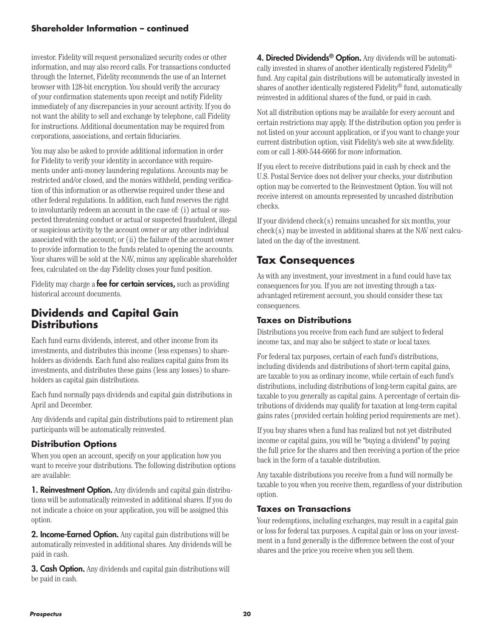#### **Shareholder Information – continued**

investor. Fidelity will request personalized security codes or other information, and may also record calls. For transactions conducted through the Internet, Fidelity recommends the use of an Internet browser with 128-bit encryption. You should verify the accuracy of your confirmation statements upon receipt and notify Fidelity immediately of any discrepancies in your account activity. If you do not want the ability to sell and exchange by telephone, call Fidelity for instructions. Additional documentation may be required from corporations, associations, and certain fiduciaries.

You may also be asked to provide additional information in order for Fidelity to verify your identity in accordance with requirements under anti-money laundering regulations. Accounts may be restricted and/or closed, and the monies withheld, pending verification of this information or as otherwise required under these and other federal regulations. In addition, each fund reserves the right to involuntarily redeem an account in the case of: (i) actual or suspected threatening conduct or actual or suspected fraudulent, illegal or suspicious activity by the account owner or any other individual associated with the account; or (ii) the failure of the account owner to provide information to the funds related to opening the accounts. Your shares will be sold at the NAV, minus any applicable shareholder fees, calculated on the day Fidelity closes your fund position.

Fidelity may charge a **fee for certain services**, such as providing historical account documents.

### **Dividends and Capital Gain Distributions**

Each fund earns dividends, interest, and other income from its investments, and distributes this income (less expenses) to shareholders as dividends. Each fund also realizes capital gains from its investments, and distributes these gains (less any losses) to shareholders as capital gain distributions.

Each fund normally pays dividends and capital gain distributions in April and December.

Any dividends and capital gain distributions paid to retirement plan participants will be automatically reinvested.

#### **Distribution Options**

When you open an account, specify on your application how you want to receive your distributions. The following distribution options are available:

**1. Reinvestment Option.** Any dividends and capital gain distributions will be automatically reinvested in additional shares. If you do not indicate a choice on your application, you will be assigned this option.

**2. Income-Earned Option.** Any capital gain distributions will be automatically reinvested in additional shares. Any dividends will be paid in cash.

**3. Cash Option.** Any dividends and capital gain distributions will be paid in cash.

4. Directed Dividends<sup>®</sup> Option. Any dividends will be automatically invested in shares of another identically registered Fidelity® fund. Any capital gain distributions will be automatically invested in shares of another identically registered Fidelity® fund, automatically reinvested in additional shares of the fund, or paid in cash.

Not all distribution options may be available for every account and certain restrictions may apply. If the distribution option you prefer is not listed on your account application, or if you want to change your current distribution option, visit Fidelity's web site at www.fidelity. com or call 1-800-544-6666 for more information.

If you elect to receive distributions paid in cash by check and the U.S. Postal Service does not deliver your checks, your distribution option may be converted to the Reinvestment Option. You will not receive interest on amounts represented by uncashed distribution checks.

If your dividend check(s) remains uncashed for six months, your check(s) may be invested in additional shares at the NAV next calculated on the day of the investment.

### **Tax Consequences**

As with any investment, your investment in a fund could have tax consequences for you. If you are not investing through a taxadvantaged retirement account, you should consider these tax consequences.

#### **Taxes on Distributions**

Distributions you receive from each fund are subject to federal income tax, and may also be subject to state or local taxes.

For federal tax purposes, certain of each fund's distributions, including dividends and distributions of short-term capital gains, are taxable to you as ordinary income, while certain of each fund's distributions, including distributions of long-term capital gains, are taxable to you generally as capital gains. A percentage of certain distributions of dividends may qualify for taxation at long-term capital gains rates (provided certain holding period requirements are met).

If you buy shares when a fund has realized but not yet distributed income or capital gains, you will be "buying a dividend" by paying the full price for the shares and then receiving a portion of the price back in the form of a taxable distribution.

Any taxable distributions you receive from a fund will normally be taxable to you when you receive them, regardless of your distribution option.

#### **Taxes on Transactions**

Your redemptions, including exchanges, may result in a capital gain or loss for federal tax purposes. A capital gain or loss on your investment in a fund generally is the difference between the cost of your shares and the price you receive when you sell them.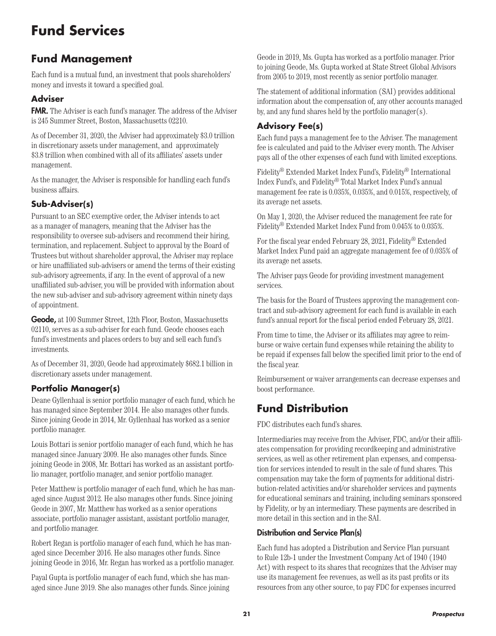# **Fund Services**

## **Fund Management**

Each fund is a mutual fund, an investment that pools shareholders' money and invests it toward a specified goal.

### **Adviser**

FMR. The Adviser is each fund's manager. The address of the Adviser is 245 Summer Street, Boston, Massachusetts 02210.

As of December 31, 2020, the Adviser had approximately \$3.0 trillion in discretionary assets under management, and approximately \$3.8 trillion when combined with all of its affiliates' assets under management.

As the manager, the Adviser is responsible for handling each fund's business affairs.

### **Sub-Adviser(s)**

Pursuant to an SEC exemptive order, the Adviser intends to act as a manager of managers, meaning that the Adviser has the responsibility to oversee sub-advisers and recommend their hiring, termination, and replacement. Subject to approval by the Board of Trustees but without shareholder approval, the Adviser may replace or hire unaffiliated sub-advisers or amend the terms of their existing sub-advisory agreements, if any. In the event of approval of a new unaffiliated sub-adviser, you will be provided with information about the new sub-adviser and sub-advisory agreement within ninety days of appointment.

Geode, at 100 Summer Street, 12th Floor, Boston, Massachusetts 02110, serves as a sub-adviser for each fund. Geode chooses each fund's investments and places orders to buy and sell each fund's investments.

As of December 31, 2020, Geode had approximately \$682.1 billion in discretionary assets under management.

### **Portfolio Manager(s)**

Deane Gyllenhaal is senior portfolio manager of each fund, which he has managed since September 2014. He also manages other funds. Since joining Geode in 2014, Mr. Gyllenhaal has worked as a senior portfolio manager.

Louis Bottari is senior portfolio manager of each fund, which he has managed since January 2009. He also manages other funds. Since joining Geode in 2008, Mr. Bottari has worked as an assistant portfolio manager, portfolio manager, and senior portfolio manager.

Peter Matthew is portfolio manager of each fund, which he has managed since August 2012. He also manages other funds. Since joining Geode in 2007, Mr. Matthew has worked as a senior operations associate, portfolio manager assistant, assistant portfolio manager, and portfolio manager.

Robert Regan is portfolio manager of each fund, which he has managed since December 2016. He also manages other funds. Since joining Geode in 2016, Mr. Regan has worked as a portfolio manager.

Payal Gupta is portfolio manager of each fund, which she has managed since June 2019. She also manages other funds. Since joining

Geode in 2019, Ms. Gupta has worked as a portfolio manager. Prior to joining Geode, Ms. Gupta worked at State Street Global Advisors from 2005 to 2019, most recently as senior portfolio manager.

The statement of additional information (SAI) provides additional information about the compensation of, any other accounts managed by, and any fund shares held by the portfolio manager(s).

### **Advisory Fee(s)**

Each fund pays a management fee to the Adviser. The management fee is calculated and paid to the Adviser every month. The Adviser pays all of the other expenses of each fund with limited exceptions.

Fidelity® Extended Market Index Fund's, Fidelity® International Index Fund's, and Fidelity® Total Market Index Fund's annual management fee rate is 0.035%, 0.035%, and 0.015%, respectively, of its average net assets.

On May 1, 2020, the Adviser reduced the management fee rate for Fidelity® Extended Market Index Fund from 0.045% to 0.035%.

For the fiscal year ended February 28, 2021, Fidelity® Extended Market Index Fund paid an aggregate management fee of 0.035% of its average net assets.

The Adviser pays Geode for providing investment management services.

The basis for the Board of Trustees approving the management contract and sub-advisory agreement for each fund is available in each fund's annual report for the fiscal period ended February 28, 2021.

From time to time, the Adviser or its affiliates may agree to reimburse or waive certain fund expenses while retaining the ability to be repaid if expenses fall below the specified limit prior to the end of the fiscal year.

Reimbursement or waiver arrangements can decrease expenses and boost performance.

## **Fund Distribution**

FDC distributes each fund's shares.

Intermediaries may receive from the Adviser, FDC, and/or their affiliates compensation for providing recordkeeping and administrative services, as well as other retirement plan expenses, and compensation for services intended to result in the sale of fund shares. This compensation may take the form of payments for additional distribution-related activities and/or shareholder services and payments for educational seminars and training, including seminars sponsored by Fidelity, or by an intermediary. These payments are described in more detail in this section and in the SAI.

#### Distribution and Service Plan(s)

Each fund has adopted a Distribution and Service Plan pursuant to Rule 12b-1 under the Investment Company Act of 1940 (1940 Act) with respect to its shares that recognizes that the Adviser may use its management fee revenues, as well as its past profits or its resources from any other source, to pay FDC for expenses incurred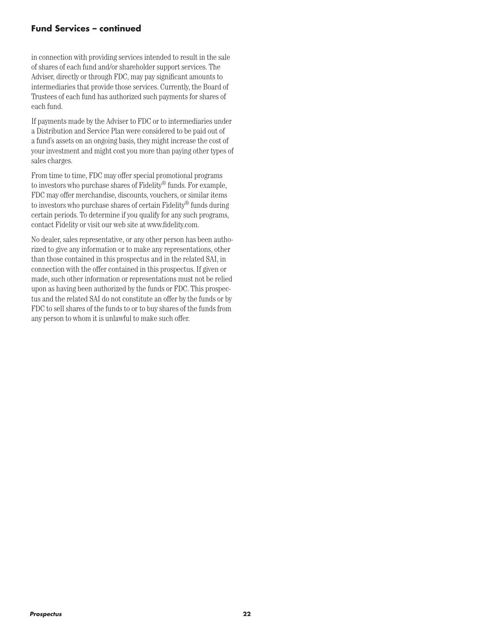#### **Fund Services – continued**

in connection with providing services intended to result in the sale of shares of each fund and/or shareholder support services. The Adviser, directly or through FDC, may pay significant amounts to intermediaries that provide those services. Currently, the Board of Trustees of each fund has authorized such payments for shares of each fund.

If payments made by the Adviser to FDC or to intermediaries under a Distribution and Service Plan were considered to be paid out of a fund's assets on an ongoing basis, they might increase the cost of your investment and might cost you more than paying other types of sales charges.

From time to time, FDC may offer special promotional programs to investors who purchase shares of Fidelity® funds. For example, FDC may offer merchandise, discounts, vouchers, or similar items to investors who purchase shares of certain Fidelity® funds during certain periods. To determine if you qualify for any such programs, contact Fidelity or visit our web site at www.fidelity.com.

No dealer, sales representative, or any other person has been authorized to give any information or to make any representations, other than those contained in this prospectus and in the related SAI, in connection with the offer contained in this prospectus. If given or made, such other information or representations must not be relied upon as having been authorized by the funds or FDC. This prospectus and the related SAI do not constitute an offer by the funds or by FDC to sell shares of the funds to or to buy shares of the funds from any person to whom it is unlawful to make such offer.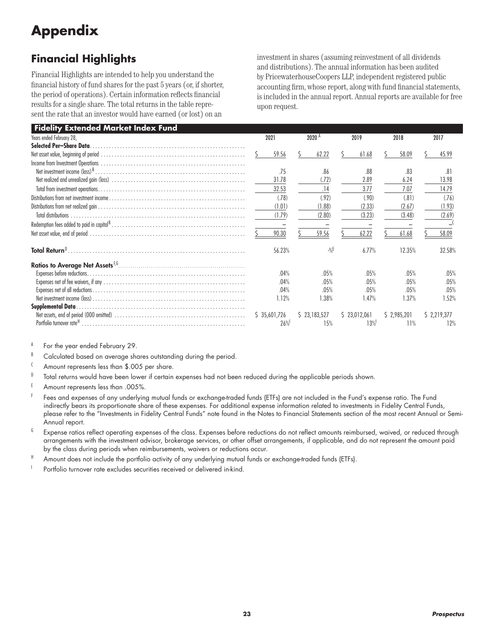# **Appendix**

# **Financial Highlights**

Financial Highlights are intended to help you understand the financial history of fund shares for the past 5 years (or, if shorter, the period of operations). Certain information reflects financial results for a single share. The total returns in the table represent the rate that an investor would have earned (or lost) on an

investment in shares (assuming reinvestment of all dividends and distributions). The annual information has been audited by PricewaterhouseCoopers LLP, independent registered public accounting firm, whose report, along with fund financial statements, is included in the annual report. Annual reports are available for free upon request.

| Fidelity Extended Market Index Fund |                           |                           |                           |                           |                          |  |
|-------------------------------------|---------------------------|---------------------------|---------------------------|---------------------------|--------------------------|--|
| Years ended February 28,            | 2021                      | 2020 <sup>A</sup>         | 2019                      |                           | 2017                     |  |
| Selected Per-Share Data             |                           |                           |                           |                           |                          |  |
|                                     | 59.56                     | 62.22                     | 61.68                     | 58.09                     | 45.99                    |  |
|                                     | .75<br>31.78              | .86<br>(.72)              | .88<br>2.89               | .83<br>6.24               | .81<br>13.98             |  |
|                                     | 32.53                     | .14                       | 3.77                      | 7.07                      | 14.79                    |  |
|                                     | (.78)<br>(1.01)<br>(1.79) | (.92)<br>(1.88)<br>(2.80) | (.90)<br>(2.33)<br>(3.23) | (.81)<br>(2.67)<br>(3.48) | (76)<br>(1.93)<br>(2.69) |  |
|                                     |                           |                           |                           |                           |                          |  |
|                                     | 90.30                     | 59.56                     | 62.22                     | 61.68                     | 58.09                    |  |
| Total Return <sup>D</sup> .         | 56.23%                    | $-9/6$                    | 6.77%                     | 12.35%                    | 32.58%                   |  |
|                                     |                           |                           |                           |                           |                          |  |
|                                     | .04%                      | .05%                      | .05%                      | .05%                      | .05%                     |  |
|                                     | .04%                      | .05%                      | .05%                      | .05%                      | .05%                     |  |
|                                     | .04%                      | .05%                      | .05%                      | .05%                      | .05%                     |  |
|                                     | 1.12%                     | 1.38%                     | 1.47%                     | 1.37%                     | 1.52%                    |  |
|                                     |                           |                           |                           |                           |                          |  |
|                                     | \$35,601,726<br>26%       | \$23,183,527<br>15%       | \$23,012,061<br>13%       | \$2,985,201<br>11%        | \$2,219,377<br>12%       |  |

A For the year ended February 29.

B Calculated based on average shares outstanding during the period.

<sup>C</sup> Amount represents less than \$.005 per share.

 $D$  Total returns would have been lower if certain expenses had not been reduced during the applicable periods shown.

- E Amount represents less than .005%.
- $F$  Fees and expenses of any underlying mutual funds or exchange-traded funds (ETFs) are not included in the Fund's expense ratio. The Fund indirectly bears its proportionate share of these expenses. For additional expense information related to investments in Fidelity Central Funds, please refer to the "Investments in Fidelity Central Funds" note found in the Notes to Financial Statements section of the most recent Annual or Semi-Annual report.
- $6$  Expense ratios reflect operating expenses of the class. Expenses before reductions do not reflect amounts reimbursed, waived, or reduced through arrangements with the investment advisor, brokerage services, or other offset arrangements, if applicable, and do not represent the amount paid by the class during periods when reimbursements, waivers or reductions occur.
- H Amount does not include the portfolio activity of any underlying mutual funds or exchange-traded funds (ETFs).

<sup>1</sup> Portfolio turnover rate excludes securities received or delivered in-kind.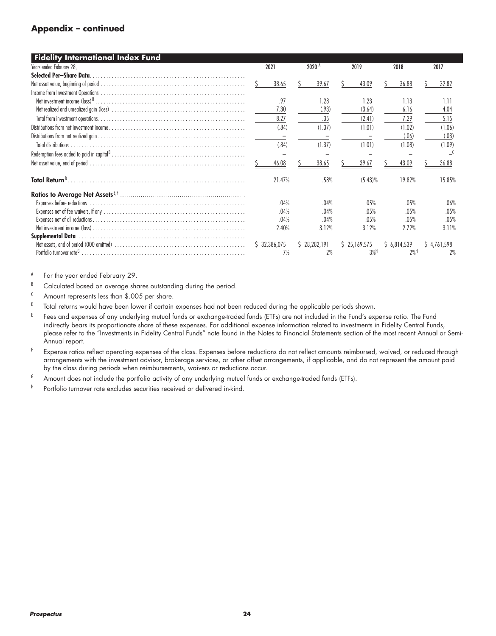#### **Appendix – continued**

| <b>Fidelity International Index Fund</b> |                   |                   |              |      |              |             |                   |  |             |
|------------------------------------------|-------------------|-------------------|--------------|------|--------------|-------------|-------------------|--|-------------|
| Years ended February 28,                 | 2021              | 2020 <sup>A</sup> |              | 2019 | 2018         |             | 2017              |  |             |
| Selected Per-Share Data.                 |                   |                   |              |      |              |             |                   |  |             |
|                                          | 38.65             |                   | 39.67        |      | 43.09        |             | 36.88             |  | 32.82       |
|                                          |                   |                   |              |      |              |             |                   |  |             |
|                                          | .97               |                   | 1.28         |      | 1.23         |             | 1.13              |  | 1.11        |
|                                          | 7.30              |                   | (.93)        |      | (3.64)       |             | 6.16              |  | 4.04        |
|                                          | 8.27              |                   | .35          |      | (2.41)       |             | 7.29              |  | 5.15        |
|                                          | (.84)             |                   | (1.37)       |      | (1.01)       |             | (1.02)            |  | (1.06)      |
|                                          | $\qquad \qquad -$ |                   |              |      |              |             | (.06)             |  | (.03)       |
| <b>Total distributions</b>               | (.84)             |                   | (1.37)       |      | (1.01)       |             | (1.08)            |  | (1.09)      |
|                                          |                   |                   |              |      |              |             |                   |  |             |
|                                          | 46.08             |                   | 38.65        |      | 39.67        |             | 43.09             |  | 36.88       |
|                                          | 21.47%            |                   | .58%         |      | $(5.43)\%$   |             | 19.82%            |  | 15.85%      |
|                                          |                   |                   |              |      |              |             |                   |  |             |
|                                          | .04%              |                   | .04%         |      | .05%         |             | .05%              |  | .06%        |
|                                          | .04%              |                   | .04%         |      | .05%         |             | .05%              |  | .05%        |
|                                          | .04%              |                   | .04%         |      | .05%         |             | .05%              |  | .05%        |
|                                          | 2.40%             |                   | 3.12%        |      | 3.12%        |             | 2.72%             |  | 3.11%       |
|                                          |                   |                   |              |      |              |             |                   |  |             |
|                                          | \$32,386,075      |                   | \$28,282,191 |      | \$25,169,575 | \$6,814,539 |                   |  | \$4,761,598 |
|                                          | 7%                |                   | 2%           |      | $3%$ H       |             | $2%$ <sup>H</sup> |  | 2%          |

A For the year ended February 29.

B Calculated based on average shares outstanding during the period.

<sup>C</sup> Amount represents less than \$.005 per share.

D Total returns would have been lower if certain expenses had not been reduced during the applicable periods shown.

E Fees and expenses of any underlying mutual funds or exchange-traded funds (ETFs) are not included in the Fund's expense ratio. The Fund indirectly bears its proportionate share of these expenses. For additional expense information related to investments in Fidelity Central Funds, please refer to the "Investments in Fidelity Central Funds" note found in the Notes to Financial Statements section of the most recent Annual or Semi-Annual report.

F Expense ratios reflect operating expenses of the class. Expenses before reductions do not reflect amounts reimbursed, waived, or reduced through arrangements with the investment advisor, brokerage services, or other offset arrangements, if applicable, and do not represent the amount paid by the class during periods when reimbursements, waivers or reductions occur.

 $6$  Amount does not include the portfolio activity of any underlying mutual funds or exchange-traded funds (ETFs).

<sup>H</sup> Portfolio turnover rate excludes securities received or delivered in-kind.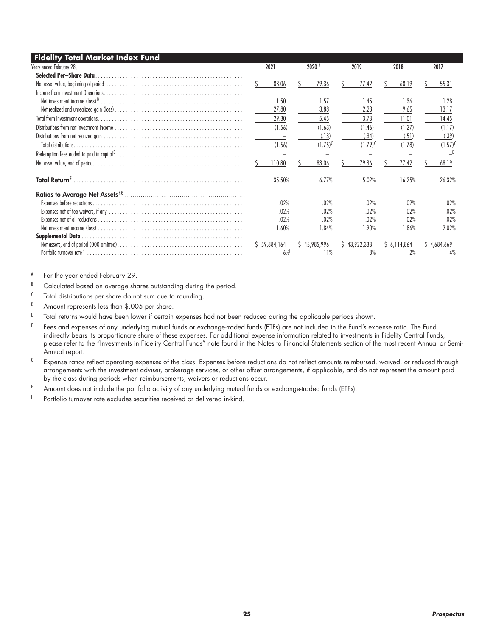| <b>Fidelity Total Market Index Fund</b> |              |                   |              |             |              |
|-----------------------------------------|--------------|-------------------|--------------|-------------|--------------|
| Years ended February 28,                | 2021         | 2020 <sup>A</sup> | 2019         | 2018        | 2017         |
| Selected Per-Share Data.                |              |                   |              |             |              |
|                                         | 83.06        | 79.36             | 77.42        | 68.19       | 55.31        |
|                                         |              |                   |              |             |              |
|                                         | 1.50         | 1.57              | 1.45         | 1.36        | 1.28         |
|                                         | 27.80        | 3.88              | 2.28         | 9.65        | 13.17        |
|                                         | 29.30        | 5.45              | 3.73         | 11.01       | 14.45        |
|                                         | (1.56)       | (1.63)            | (1.46)       | (1.27)      | (1.17)       |
|                                         |              | (.13)             | (.34)        | (.51)       | (.39)        |
|                                         | (1.56)       | $(1.75)^{C}$      | $(1.79)^{0}$ | (1.78)      | $(1.57)^{0}$ |
|                                         |              |                   |              |             |              |
|                                         | 110.80       | 83.06             | 79.36        | 77.42       | 68.19        |
| Total Return <sup>t</sup>               | 35.50%       | 6.77%             | 5.02%        | 16.25%      | 26.32%       |
|                                         |              |                   |              |             |              |
|                                         | .02%         | .02%              | .02%         | .02%        | .02%         |
|                                         | .02%         | .02%              | .02%         | .02%        | .02%         |
|                                         | .02%         | .02%              | .02%         | .02%        | .02%         |
|                                         | 1.60%        | 1.84%             | 1.90%        | 1.86%       | 2.02%        |
| <b>Supplemental Data.</b>               |              |                   |              |             |              |
|                                         | \$59,884,164 | \$45,985,996      | \$43,922,333 | \$6,114,864 | \$4,684,669  |
|                                         | 6%           | 11%               | 8%           | 2%          | 4%           |

A For the year ended February 29.

B Calculated based on average shares outstanding during the period.

<sup>C</sup> Total distributions per share do not sum due to rounding.

D Amount represents less than \$.005 per share.

E Total returns would have been lower if certain expenses had not been reduced during the applicable periods shown.

F Fees and expenses of any underlying mutual funds or exchange-traded funds (ETFs) are not included in the Fund's expense ratio. The Fund indirectly bears its proportionate share of these expenses. For additional expense information related to investments in Fidelity Central Funds, please refer to the "Investments in Fidelity Central Funds" note found in the Notes to Financial Statements section of the most recent Annual or Semi-Annual report.

 $6$  Expense ratios reflect operating expenses of the class. Expenses before reductions do not reflect amounts reimbursed, waived, or reduced through arrangements with the investment adviser, brokerage services, or other offset arrangements, if applicable, and do not represent the amount paid by the class during periods when reimbursements, waivers or reductions occur.

 $^{\text{H}}$  Amount does not include the portfolio activity of any underlying mutual funds or exchange-traded funds (ETFs).

Portfolio turnover rate excludes securities received or delivered in-kind.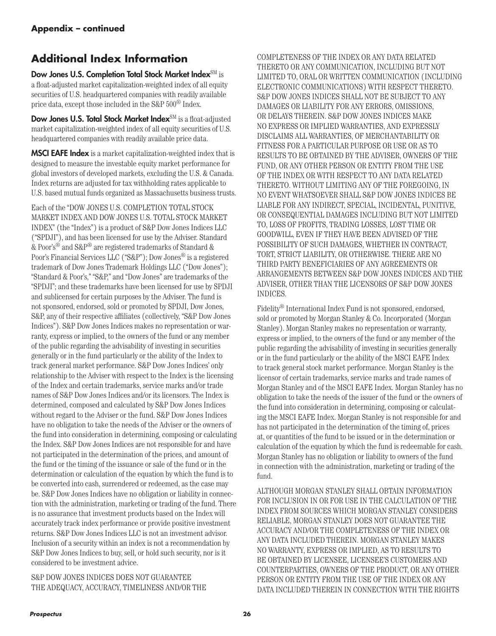# **Additional Index Information**

Dow Jones U.S. Completion Total Stock Market Index<sup>SM</sup> is a float-adjusted market capitalization-weighted index of all equity securities of U.S. headquartered companies with readily available price data, except those included in the S&P 500® Index.

Dow Jones U.S. Total Stock Market Index<sup>SM</sup> is a float-adjusted market capitalization-weighted index of all equity securities of U.S. headquartered companies with readily available price data.

**MSCI EAFE Index** is a market capitalization-weighted index that is designed to measure the investable equity market performance for global investors of developed markets, excluding the U.S. & Canada. Index returns are adjusted for tax withholding rates applicable to U.S. based mutual funds organized as Massachusetts business trusts.

Each of the "DOW JONES U.S. COMPLETION TOTAL STOCK MARKET INDEX AND DOW JONES U.S. TOTAL STOCK MARKET INDEX" (the "Index") is a product of S&P Dow Jones Indices LLC ("SPDJI"), and has been licensed for use by the Adviser. Standard & Poor's® and S&P® are registered trademarks of Standard & Poor's Financial Services LLC ("S&P"); Dow Jones® is a registered trademark of Dow Jones Trademark Holdings LLC ("Dow Jones"); "Standard & Poor's," "S&P," and "Dow Jones" are trademarks of the "SPDJI"; and these trademarks have been licensed for use by SPDJI and sublicensed for certain purposes by the Adviser. The fund is not sponsored, endorsed, sold or promoted by SPDJI, Dow Jones, S&P, any of their respective affiliates (collectively, "S&P Dow Jones Indices"). S&P Dow Jones Indices makes no representation or warranty, express or implied, to the owners of the fund or any member of the public regarding the advisability of investing in securities generally or in the fund particularly or the ability of the Index to track general market performance. S&P Dow Jones Indices' only relationship to the Adviser with respect to the Index is the licensing of the Index and certain trademarks, service marks and/or trade names of S&P Dow Jones Indices and/or its licensors. The Index is determined, composed and calculated by S&P Dow Jones Indices without regard to the Adviser or the fund. S&P Dow Jones Indices have no obligation to take the needs of the Adviser or the owners of the fund into consideration in determining, composing or calculating the Index. S&P Dow Jones Indices are not responsible for and have not participated in the determination of the prices, and amount of the fund or the timing of the issuance or sale of the fund or in the determination or calculation of the equation by which the fund is to be converted into cash, surrendered or redeemed, as the case may be. S&P Dow Jones Indices have no obligation or liability in connection with the administration, marketing or trading of the fund. There is no assurance that investment products based on the Index will accurately track index performance or provide positive investment returns. S&P Dow Jones Indices LLC is not an investment advisor. Inclusion of a security within an index is not a recommendation by S&P Dow Jones Indices to buy, sell, or hold such security, nor is it considered to be investment advice.

S&P DOW JONES INDICES DOES NOT GUARANTEE THE ADEQUACY, ACCURACY, TIMELINESS AND/OR THE

COMPLETENESS OF THE INDEX OR ANY DATA RELATED THERETO OR ANY COMMUNICATION, INCLUDING BUT NOT LIMITED TO, ORAL OR WRITTEN COMMUNICATION (INCLUDING ELECTRONIC COMMUNICATIONS) WITH RESPECT THERETO. S&P DOW JONES INDICES SHALL NOT BE SUBJECT TO ANY DAMAGES OR LIABILITY FOR ANY ERRORS, OMISSIONS, OR DELAYS THEREIN. S&P DOW JONES INDICES MAKE NO EXPRESS OR IMPLIED WARRANTIES, AND EXPRESSLY DISCLAIMS ALL WARRANTIES, OF MERCHANTABILITY OR FITNESS FOR A PARTICULAR PURPOSE OR USE OR AS TO RESULTS TO BE OBTAINED BY THE ADVISER, OWNERS OF THE FUND, OR ANY OTHER PERSON OR ENTITY FROM THE USE OF THE INDEX OR WITH RESPECT TO ANY DATA RELATED THERETO. WITHOUT LIMITING ANY OF THE FOREGOING, IN NO EVENT WHATSOEVER SHALL S&P DOW JONES INDICES BE LIABLE FOR ANY INDIRECT, SPECIAL, INCIDENTAL, PUNITIVE, OR CONSEQUENTIAL DAMAGES INCLUDING BUT NOT LIMITED TO, LOSS OF PROFITS, TRADING LOSSES, LOST TIME OR GOODWILL, EVEN IF THEY HAVE BEEN ADVISED OF THE POSSIBILITY OF SUCH DAMAGES, WHETHER IN CONTRACT, TORT, STRICT LIABILITY, OR OTHERWISE. THERE ARE NO THIRD PARTY BENEFICIARIES OF ANY AGREEMENTS OR ARRANGEMENTS BETWEEN S&P DOW JONES INDICES AND THE ADVISER, OTHER THAN THE LICENSORS OF S&P DOW JONES INDICES.

Fidelity® International Index Fund is not sponsored, endorsed, sold or promoted by Morgan Stanley & Co. Incorporated (Morgan Stanley). Morgan Stanley makes no representation or warranty, express or implied, to the owners of the fund or any member of the public regarding the advisability of investing in securities generally or in the fund particularly or the ability of the MSCI EAFE Index to track general stock market performance. Morgan Stanley is the licensor of certain trademarks, service marks and trade names of Morgan Stanley and of the MSCI EAFE Index. Morgan Stanley has no obligation to take the needs of the issuer of the fund or the owners of the fund into consideration in determining, composing or calculating the MSCI EAFE Index. Morgan Stanley is not responsible for and has not participated in the determination of the timing of, prices at, or quantities of the fund to be issued or in the determination or calculation of the equation by which the fund is redeemable for cash. Morgan Stanley has no obligation or liability to owners of the fund in connection with the administration, marketing or trading of the fund.

ALTHOUGH MORGAN STANLEY SHALL OBTAIN INFORMATION FOR INCLUSION IN OR FOR USE IN THE CALCULATION OF THE INDEX FROM SOURCES WHICH MORGAN STANLEY CONSIDERS RELIABLE, MORGAN STANLEY DOES NOT GUARANTEE THE ACCURACY AND/OR THE COMPLETENESS OF THE INDEX OR ANY DATA INCLUDED THEREIN. MORGAN STANLEY MAKES NO WARRANTY, EXPRESS OR IMPLIED, AS TO RESULTS TO BE OBTAINED BY LICENSEE, LICENSEE'S CUSTOMERS AND COUNTERPARTIES, OWNERS OF THE PRODUCT, OR ANY OTHER PERSON OR ENTITY FROM THE USE OF THE INDEX OR ANY DATA INCLUDED THEREIN IN CONNECTION WITH THE RIGHTS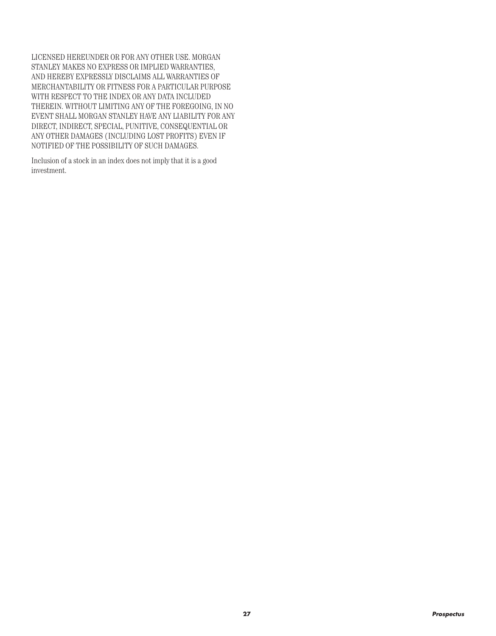LICENSED HEREUNDER OR FOR ANY OTHER USE. MORGAN STANLEY MAKES NO EXPRESS OR IMPLIED WARRANTIES, AND HEREBY EXPRESSLY DISCLAIMS ALL WARRANTIES OF MERCHANTABILITY OR FITNESS FOR A PARTICULAR PURPOSE WITH RESPECT TO THE INDEX OR ANY DATA INCLUDED THEREIN. WITHOUT LIMITING ANY OF THE FOREGOING, IN NO EVENT SHALL MORGAN STANLEY HAVE ANY LIABILITY FOR ANY DIRECT, INDIRECT, SPECIAL, PUNITIVE, CONSEQUENTIAL OR ANY OTHER DAMAGES (INCLUDING LOST PROFITS) EVEN IF NOTIFIED OF THE POSSIBILITY OF SUCH DAMAGES.

Inclusion of a stock in an index does not imply that it is a good investment.